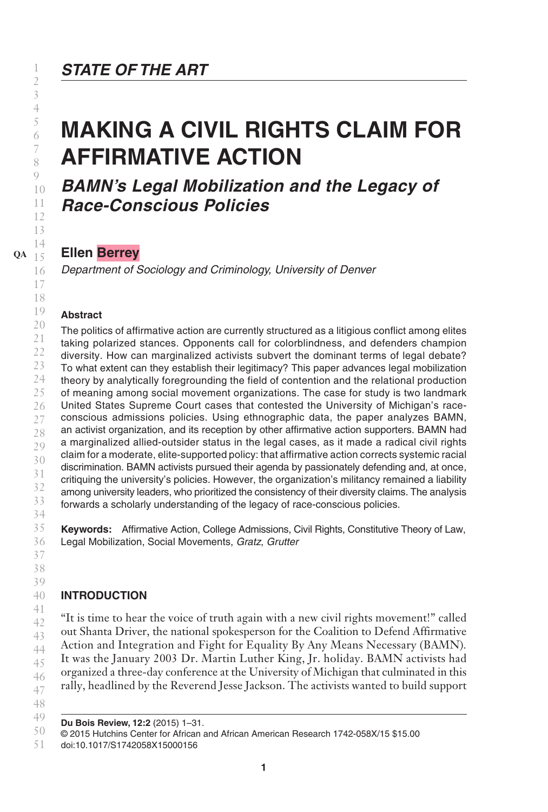# *STATE OF THE ART*

# **MAKING A CIVIL RIGHTS CLAIM FOR AFFIRMATIVE ACTION**

*BAMN's Legal Mobilization and the Legacy of Race-Conscious Policies* 

# **Ellen Berrey**

*Department of Sociology and Criminology , University of Denver* 

# **Abstract**

> 20 21 22 23 24 25 26 27 28 29 30 31 32 33 34 The politics of affirmative action are currently structured as a litigious conflict among elites taking polarized stances. Opponents call for colorblindness, and defenders champion diversity. How can marginalized activists subvert the dominant terms of legal debate? To what extent can they establish their legitimacy? This paper advances legal mobilization theory by analytically foregrounding the field of contention and the relational production of meaning among social movement organizations. The case for study is two landmark United States Supreme Court cases that contested the University of Michigan's raceconscious admissions policies. Using ethnographic data, the paper analyzes BAMN, an activist organization, and its reception by other affirmative action supporters. BAMN had a marginalized allied-outsider status in the legal cases, as it made a radical civil rights claim for a moderate, elite-supported policy: that affirmative action corrects systemic racial discrimination. BAMN activists pursued their agenda by passionately defending and, at once, critiquing the university's policies. However, the organization's militancy remained a liability among university leaders, who prioritized the consistency of their diversity claims. The analysis forwards a scholarly understanding of the legacy of race-conscious policies.

> 35 36 Keywords: Affirmative Action, College Admissions, Civil Rights, Constitutive Theory of Law, Legal Mobilization, Social Movements, *Gratz*, *Grutter*

- 39 40
- 41

37 38

# **INTRODUCTION**

42 43 44 45 46 47 "It is time to hear the voice of truth again with a new civil rights movement!" called out Shanta Driver, the national spokesperson for the Coalition to Defend Affirmative Action and Integration and Fight for Equality By Any Means Necessary (BAMN) *.* It was the January 2003 Dr. Martin Luther King, Jr. holiday. BAMN activists had organized a three-day conference at the University of Michigan that culminated in this rally, headlined by the Reverend Jesse Jackson. The activists wanted to build support

48

**Du Bois Review, 12:2 (2015) 1-31.** 49

<sup>© 2015</sup> Hutchins Center for African and African American Research 1742-058X/15 \$15.00 50

doi:10.1017/S1742058X15000156 51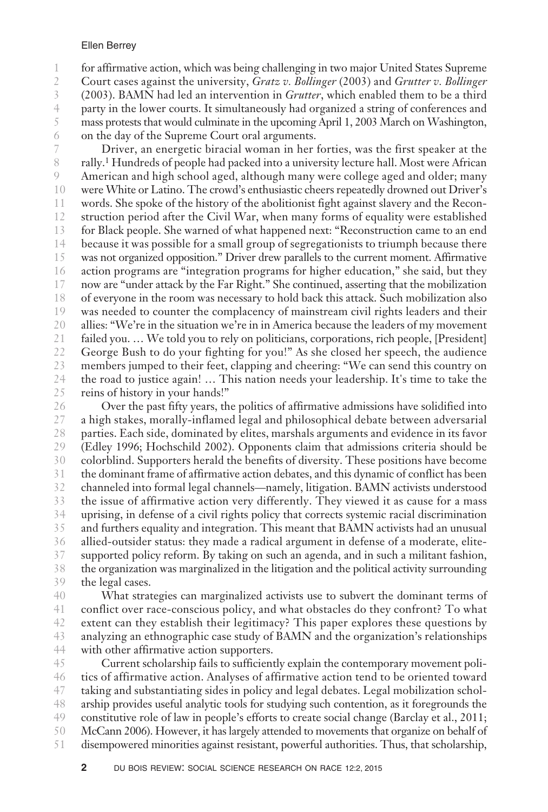1 2 3 4 5 6 for affirmative action, which was being challenging in two major United States Supreme Court cases against the university, *Gratz v. Bollinger* (2003) and *Grutter v. Bollinger* ( 2003 ). BAMN had led an intervention in *Grutter*, which enabled them to be a third party in the lower courts. It simultaneously had organized a string of conferences and mass protests that would culminate in the upcoming April 1, 2003 March on Washington, on the day of the Supreme Court oral arguments.

7 8 9 10 11 12 13 14 15 16 17 18 19 20 21 22 23 24 25 Driver, an energetic biracial woman in her forties, was the first speaker at the rally. 1 Hundreds of people had packed into a university lecture hall. Most were African American and high school aged, although many were college aged and older; many were White or Latino. The crowd's enthusiastic cheers repeatedly drowned out Driver's words. She spoke of the history of the abolitionist fight against slavery and the Reconstruction period after the Civil War, when many forms of equality were established for Black people. She warned of what happened next: "Reconstruction came to an end because it was possible for a small group of segregationists to triumph because there was not organized opposition." Driver drew parallels to the current moment. Affirmative action programs are "integration programs for higher education," she said, but they now are "under attack by the Far Right." She continued, asserting that the mobilization of everyone in the room was necessary to hold back this attack. Such mobilization also was needed to counter the complacency of mainstream civil rights leaders and their allies: "We're in the situation we're in in America because the leaders of my movement failed you. ... We told you to rely on politicians, corporations, rich people, [President] George Bush to do your fighting for you!" As she closed her speech, the audience members jumped to their feet, clapping and cheering: "We can send this country on the road to justice again! … This nation needs your leadership. It's time to take the reins of history in your hands!"

26 27 28 29 30 31 32 33 34 35 36 37 38 39 Over the past fifty years, the politics of affirmative admissions have solidified into a high stakes, morally-inflamed legal and philosophical debate between adversarial parties. Each side, dominated by elites, marshals arguments and evidence in its favor (Edley 1996; Hochschild 2002). Opponents claim that admissions criteria should be colorblind. Supporters herald the benefits of diversity. These positions have become the dominant frame of affirmative action debates, and this dynamic of conflict has been channeled into formal legal channels—namely, litigation. BAMN activists understood the issue of affirmative action very differently. They viewed it as cause for a mass uprising, in defense of a civil rights policy that corrects systemic racial discrimination and furthers equality and integration. This meant that BAMN activists had an unusual allied-outsider status: they made a radical argument in defense of a moderate, elitesupported policy reform. By taking on such an agenda, and in such a militant fashion, the organization was marginalized in the litigation and the political activity surrounding the legal cases.

40 41 42 43 44 What strategies can marginalized activists use to subvert the dominant terms of conflict over race-conscious policy, and what obstacles do they confront? To what extent can they establish their legitimacy? This paper explores these questions by analyzing an ethnographic case study of BAMN and the organization's relationships with other affirmative action supporters.

45 46 47 48 49 50 51 Current scholarship fails to sufficiently explain the contemporary movement politics of affirmative action. Analyses of affirmative action tend to be oriented toward taking and substantiating sides in policy and legal debates. Legal mobilization scholarship provides useful analytic tools for studying such contention, as it foregrounds the constitutive role of law in people's efforts to create social change (Barclay et al., 2011; McCann 2006). However, it has largely attended to movements that organize on behalf of disempowered minorities against resistant, powerful authorities. Thus, that scholarship,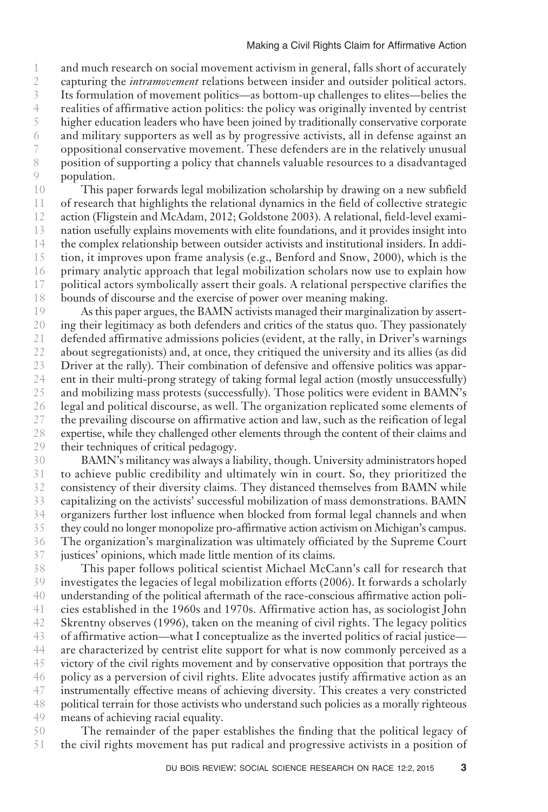1 2 3 4 5 6 7 8 9 and much research on social movement activism in general, falls short of accurately capturing the *intramovement* relations between insider and outsider political actors. Its formulation of movement politics—as bottom-up challenges to elites—belies the realities of affirmative action politics: the policy was originally invented by centrist higher education leaders who have been joined by traditionally conservative corporate and military supporters as well as by progressive activists, all in defense against an oppositional conservative movement. These defenders are in the relatively unusual position of supporting a policy that channels valuable resources to a disadvantaged population.

10 11 12 13 14 15 16 17 18 This paper forwards legal mobilization scholarship by drawing on a new subfield of research that highlights the relational dynamics in the field of collective strategic action (Fligstein and McAdam, 2012; Goldstone 2003). A relational, field-level examination usefully explains movements with elite foundations, and it provides insight into the complex relationship between outsider activists and institutional insiders. In addition, it improves upon frame analysis (e.g., Benford and Snow, 2000), which is the primary analytic approach that legal mobilization scholars now use to explain how political actors symbolically assert their goals. A relational perspective clarifies the bounds of discourse and the exercise of power over meaning making.

19 20 21 22 23 24 25 26 27 28 29 As this paper argues, the BAMN activists managed their marginalization by asserting their legitimacy as both defenders and critics of the status quo. They passionately defended affirmative admissions policies (evident, at the rally, in Driver's warnings about segregationists) and, at once, they critiqued the university and its allies (as did Driver at the rally). Their combination of defensive and offensive politics was apparent in their multi-prong strategy of taking formal legal action (mostly unsuccessfully) and mobilizing mass protests (successfully). Those politics were evident in BAMN's legal and political discourse, as well. The organization replicated some elements of the prevailing discourse on affirmative action and law, such as the reification of legal expertise, while they challenged other elements through the content of their claims and their techniques of critical pedagogy.

30 31 32 33 34 35 36 37 BAMN's militancy was always a liability, though. University administrators hoped to achieve public credibility and ultimately win in court. So, they prioritized the consistency of their diversity claims. They distanced themselves from BAMN while capitalizing on the activists' successful mobilization of mass demonstrations. BAMN organizers further lost influence when blocked from formal legal channels and when they could no longer monopolize pro-affirmative action activism on Michigan's campus. The organization's marginalization was ultimately officiated by the Supreme Court justices' opinions, which made little mention of its claims.

38 39 40 41 42 43 44 45 46 47 48 49 This paper follows political scientist Michael McCann's call for research that investigates the legacies of legal mobilization efforts (2006). It forwards a scholarly understanding of the political aftermath of the race-conscious affirmative action policies established in the 1960s and 1970s. Affirmative action has, as sociologist John Skrentny observes (1996), taken on the meaning of civil rights. The legacy politics of affirmative action—what I conceptualize as the inverted politics of racial justice are characterized by centrist elite support for what is now commonly perceived as a victory of the civil rights movement and by conservative opposition that portrays the policy as a perversion of civil rights. Elite advocates justify affirmative action as an instrumentally effective means of achieving diversity. This creates a very constricted political terrain for those activists who understand such policies as a morally righteous means of achieving racial equality.

50 51 The remainder of the paper establishes the finding that the political legacy of the civil rights movement has put radical and progressive activists in a position of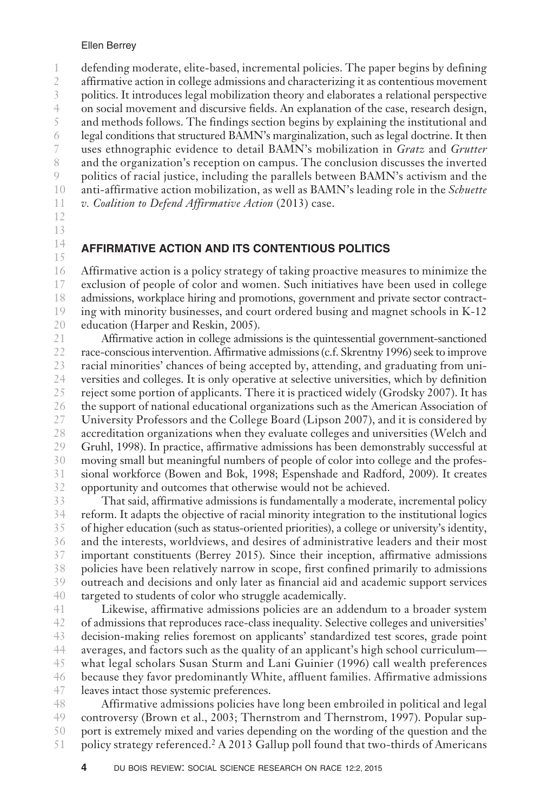1 2 3 4 5 6 7 8 9 10 11 defending moderate, elite-based, incremental policies. The paper begins by defining affirmative action in college admissions and characterizing it as contentious movement politics. It introduces legal mobilization theory and elaborates a relational perspective on social movement and discursive fields. An explanation of the case, research design, and methods follows. The findings section begins by explaining the institutional and legal conditions that structured BAMN's marginalization, such as legal doctrine. It then uses ethnographic evidence to detail BAMN's mobilization in *Gratz* and *Grutter* and the organization's reception on campus. The conclusion discusses the inverted politics of racial justice, including the parallels between BAMN's activism and the anti-affirmative action mobilization, as well as BAMN's leading role in the *Schuette v. Coalition to Defend Affirmative Action* (2013) case.

- 12 13
- 14 15

# **AFFIRMATIVE ACTION AND ITS CONTENTIOUS POLITICS**

16 17 18 19 20 Affirmative action is a policy strategy of taking proactive measures to minimize the exclusion of people of color and women. Such initiatives have been used in college admissions, workplace hiring and promotions, government and private sector contracting with minority businesses, and court ordered busing and magnet schools in K-12 education (Harper and Reskin, 2005).

21 22 23 24 25 26 27 28 29 30 31 32 Affirmative action in college admissions is the quintessential government-sanctioned race-conscious intervention. Affirmative admissions (c.f. Skrentny 1996 ) seek to improve racial minorities' chances of being accepted by, attending, and graduating from universities and colleges. It is only operative at selective universities, which by definition reject some portion of applicants. There it is practiced widely (Grodsky 2007). It has the support of national educational organizations such as the American Association of University Professors and the College Board (Lipson 2007 ), and it is considered by accreditation organizations when they evaluate colleges and universities (Welch and Gruhl, 1998). In practice, affirmative admissions has been demonstrably successful at moving small but meaningful numbers of people of color into college and the professional workforce (Bowen and Bok, 1998; Espenshade and Radford, 2009). It creates opportunity and outcomes that otherwise would not be achieved.

33 34 35 36 37 38 39 40 That said, affirmative admissions is fundamentally a moderate, incremental policy reform. It adapts the objective of racial minority integration to the institutional logics of higher education (such as status-oriented priorities), a college or university's identity, and the interests, worldviews, and desires of administrative leaders and their most important constituents (Berrey 2015). Since their inception, affirmative admissions policies have been relatively narrow in scope, first confined primarily to admissions outreach and decisions and only later as financial aid and academic support services targeted to students of color who struggle academically.

41 42 43 44 45 46 47 Likewise, affirmative admissions policies are an addendum to a broader system of admissions that reproduces race-class inequality. Selective colleges and universities' decision-making relies foremost on applicants' standardized test scores, grade point averages, and factors such as the quality of an applicant's high school curriculum what legal scholars Susan Sturm and Lani Guinier (1996) call wealth preferences because they favor predominantly White, affluent families. Affirmative admissions leaves intact those systemic preferences.

48 49 50 51 Affirmative admissions policies have long been embroiled in political and legal controversy (Brown et al., 2003; Thernstrom and Thernstrom, 1997). Popular support is extremely mixed and varies depending on the wording of the question and the policy strategy referenced. 2 A 2013 Gallup poll found that two-thirds of Americans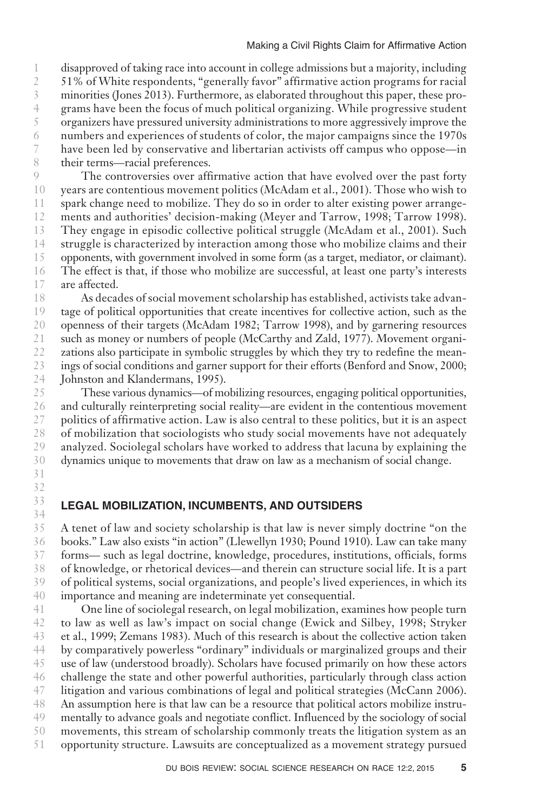1 2 3 4 5 6 7 8 disapproved of taking race into account in college admissions but a majority, including 51% of White respondents, "generally favor" affirmative action programs for racial minorities (Jones 2013 ). Furthermore, as elaborated throughout this paper, these programs have been the focus of much political organizing. While progressive student organizers have pressured university administrations to more aggressively improve the numbers and experiences of students of color, the major campaigns since the 1970s have been led by conservative and libertarian activists off campus who oppose—in their terms—racial preferences.

9 10 11 12 13 14 15 16 17 The controversies over affirmative action that have evolved over the past forty years are contentious movement politics (McAdam et al., 2001). Those who wish to spark change need to mobilize. They do so in order to alter existing power arrangements and authorities' decision-making (Meyer and Tarrow, 1998; Tarrow 1998). They engage in episodic collective political struggle (McAdam et al., 2001). Such struggle is characterized by interaction among those who mobilize claims and their opponents, with government involved in some form (as a target, mediator, or claimant). The effect is that, if those who mobilize are successful, at least one party's interests are affected.

18 19 20 21 22 23 24 As decades of social movement scholarship has established, activists take advantage of political opportunities that create incentives for collective action, such as the openness of their targets (McAdam 1982; Tarrow 1998), and by garnering resources such as money or numbers of people (McCarthy and Zald, 1977). Movement organizations also participate in symbolic struggles by which they try to redefine the meanings of social conditions and garner support for their efforts (Benford and Snow, 2000; Johnston and Klandermans, 1995).

25 26 27 28 29 30 31 These various dynamics—of mobilizing resources, engaging political opportunities, and culturally reinterpreting social reality—are evident in the contentious movement politics of affirmative action. Law is also central to these politics, but it is an aspect of mobilization that sociologists who study social movements have not adequately analyzed. Sociolegal scholars have worked to address that lacuna by explaining the dynamics unique to movements that draw on law as a mechanism of social change.

32 33

34

# **LEGAL MOBILIZATION, INCUMBENTS, AND OUTSIDERS**

35 36 37 38 39 40 A tenet of law and society scholarship is that law is never simply doctrine "on the books." Law also exists "in action" (Llewellyn 1930; Pound 1910). Law can take many forms— such as legal doctrine, knowledge, procedures, institutions, officials, forms of knowledge, or rhetorical devices—and therein can structure social life. It is a part of political systems, social organizations, and people's lived experiences, in which its importance and meaning are indeterminate yet consequential.

41 42 43 44 45 46 47 48 49 50 51 One line of sociolegal research, on legal mobilization, examines how people turn to law as well as law's impact on social change (Ewick and Silbey, 1998; Stryker et al., 1999; Zemans 1983). Much of this research is about the collective action taken by comparatively powerless "ordinary" individuals or marginalized groups and their use of law (understood broadly). Scholars have focused primarily on how these actors challenge the state and other powerful authorities, particularly through class action litigation and various combinations of legal and political strategies (McCann 2006). An assumption here is that law can be a resource that political actors mobilize instrumentally to advance goals and negotiate conflict. Influenced by the sociology of social movements, this stream of scholarship commonly treats the litigation system as an opportunity structure. Lawsuits are conceptualized as a movement strategy pursued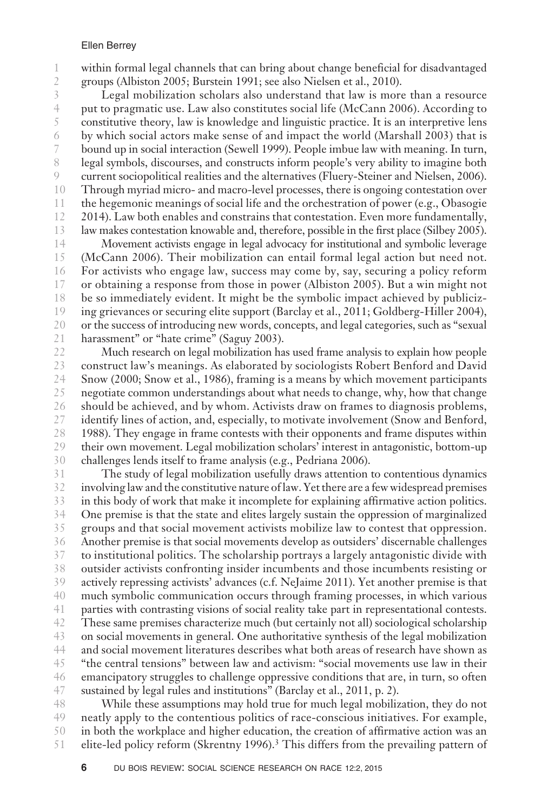1 2 within formal legal channels that can bring about change beneficial for disadvantaged groups (Albiston 2005; Burstein 1991; see also Nielsen et al., 2010).

3 4 5 6 7 8 9 10 11 12 13 Legal mobilization scholars also understand that law is more than a resource put to pragmatic use. Law also constitutes social life (McCann 2006). According to constitutive theory, law is knowledge and linguistic practice. It is an interpretive lens by which social actors make sense of and impact the world (Marshall 2003) that is bound up in social interaction (Sewell 1999). People imbue law with meaning. In turn, legal symbols, discourses, and constructs inform people's very ability to imagine both current sociopolitical realities and the alternatives (Fluery-Steiner and Nielsen, 2006). Through myriad micro- and macro-level processes, there is ongoing contestation over the hegemonic meanings of social life and the orchestration of power (e.g., Obasogie 2014). Law both enables and constrains that contestation. Even more fundamentally, law makes contestation knowable and, therefore, possible in the first place (Silbey 2005).

14 15 16 17 18 19 20 21 Movement activists engage in legal advocacy for institutional and symbolic leverage (McCann 2006). Their mobilization can entail formal legal action but need not. For activists who engage law, success may come by, say, securing a policy reform or obtaining a response from those in power (Albiston 2005 ). But a win might not be so immediately evident. It might be the symbolic impact achieved by publicizing grievances or securing elite support (Barclay et al., 2011; Goldberg-Hiller 2004), or the success of introducing new words, concepts, and legal categories, such as "sexual harassment" or "hate crime" (Saguy 2003).

22 23 24 25 26 27 28 29 30 Much research on legal mobilization has used frame analysis to explain how people construct law's meanings. As elaborated by sociologists Robert Benford and David Snow (2000; Snow et al., 1986), framing is a means by which movement participants negotiate common understandings about what needs to change, why, how that change should be achieved, and by whom. Activists draw on frames to diagnosis problems, identify lines of action, and, especially, to motivate involvement (Snow and Benford, 1988 ). They engage in frame contests with their opponents and frame disputes within their own movement. Legal mobilization scholars' interest in antagonistic, bottom-up challenges lends itself to frame analysis (e.g., Pedriana 2006).

31 32 33 34 35 36 37 38 39 40 41 42 43 44 45 46 47 The study of legal mobilization usefully draws attention to contentious dynamics involving law and the constitutive nature of law. Yet there are a few widespread premises in this body of work that make it incomplete for explaining affirmative action politics. One premise is that the state and elites largely sustain the oppression of marginalized groups and that social movement activists mobilize law to contest that oppression. Another premise is that social movements develop as outsiders' discernable challenges to institutional politics. The scholarship portrays a largely antagonistic divide with outsider activists confronting insider incumbents and those incumbents resisting or actively repressing activists' advances (c.f. NeJaime 2011 ). Yet another premise is that much symbolic communication occurs through framing processes, in which various parties with contrasting visions of social reality take part in representational contests. These same premises characterize much (but certainly not all) sociological scholarship on social movements in general. One authoritative synthesis of the legal mobilization and social movement literatures describes what both areas of research have shown as "the central tensions" between law and activism: "social movements use law in their emancipatory struggles to challenge oppressive conditions that are, in turn, so often sustained by legal rules and institutions" (Barclay et al., 2011, p. 2).

48 49 50 51 While these assumptions may hold true for much legal mobilization, they do not neatly apply to the contentious politics of race-conscious initiatives. For example, in both the workplace and higher education, the creation of affirmative action was an elite-led policy reform (Skrentny 1996).<sup>3</sup> This differs from the prevailing pattern of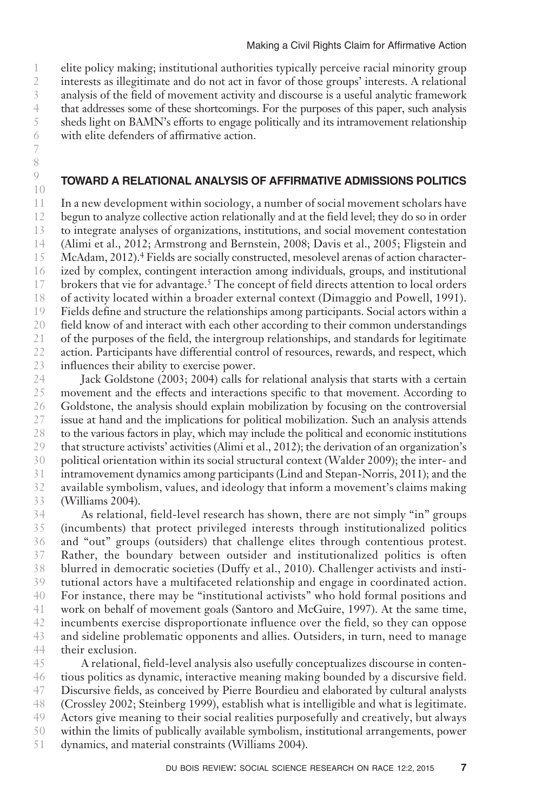1 2 3 4 5 6 7 elite policy making; institutional authorities typically perceive racial minority group interests as illegitimate and do not act in favor of those groups' interests. A relational analysis of the field of movement activity and discourse is a useful analytic framework that addresses some of these shortcomings. For the purposes of this paper, such analysis sheds light on BAMN's efforts to engage politically and its intramovement relationship with elite defenders of affirmative action.

# **TOWARD A RELATIONAL ANALYSIS OF AFFIRMATIVE ADMISSIONS POLITICS**

8 9 10

11 12 13 14 15 16 17 18 19 20 21 22 23 In a new development within sociology, a number of social movement scholars have begun to analyze collective action relationally and at the field level; they do so in order to integrate analyses of organizations, institutions, and social movement contestation (Alimi et al., 2012; Armstrong and Bernstein, 2008; Davis et al., 2005; Fligstein and McAdam, 2012).<sup>4</sup> Fields are socially constructed, mesolevel arenas of action characterized by complex, contingent interaction among individuals, groups, and institutional brokers that vie for advantage. 5 The concept of field directs attention to local orders of activity located within a broader external context (Dimaggio and Powell, 1991 ). Fields define and structure the relationships among participants. Social actors within a field know of and interact with each other according to their common understandings of the purposes of the field, the intergroup relationships, and standards for legitimate action. Participants have differential control of resources, rewards, and respect, which influences their ability to exercise power.

24 25 26 27 28 29 30 31 32 33 Jack Goldstone (2003; 2004) calls for relational analysis that starts with a certain movement and the effects and interactions specific to that movement. According to Goldstone, the analysis should explain mobilization by focusing on the controversial issue at hand and the implications for political mobilization. Such an analysis attends to the various factors in play, which may include the political and economic institutions that structure activists' activities (Alimi et al., 2012 ); the derivation of an organization's political orientation within its social structural context (Walder 2009); the inter- and intramovement dynamics among participants (Lind and Stepan-Norris, 2011 ); and the available symbolism, values, and ideology that inform a movement's claims making (Williams 2004).

34 35 36 37 38 39 40 41 42 43 44 As relational, field-level research has shown, there are not simply "in" groups (incumbents) that protect privileged interests through institutionalized politics and "out" groups (outsiders) that challenge elites through contentious protest. Rather, the boundary between outsider and institutionalized politics is often blurred in democratic societies (Duffy et al., 2010). Challenger activists and institutional actors have a multifaceted relationship and engage in coordinated action. For instance, there may be "institutional activists" who hold formal positions and work on behalf of movement goals (Santoro and McGuire, 1997). At the same time, incumbents exercise disproportionate influence over the field, so they can oppose and sideline problematic opponents and allies. Outsiders, in turn, need to manage their exclusion.

45 46 47 48 49 50 51 A relational, field-level analysis also usefully conceptualizes discourse in contentious politics as dynamic, interactive meaning making bounded by a discursive field. Discursive fields, as conceived by Pierre Bourdieu and elaborated by cultural analysts (Crossley 2002; Steinberg 1999), establish what is intelligible and what is legitimate. Actors give meaning to their social realities purposefully and creatively, but always within the limits of publically available symbolism, institutional arrangements, power dynamics, and material constraints (Williams 2004).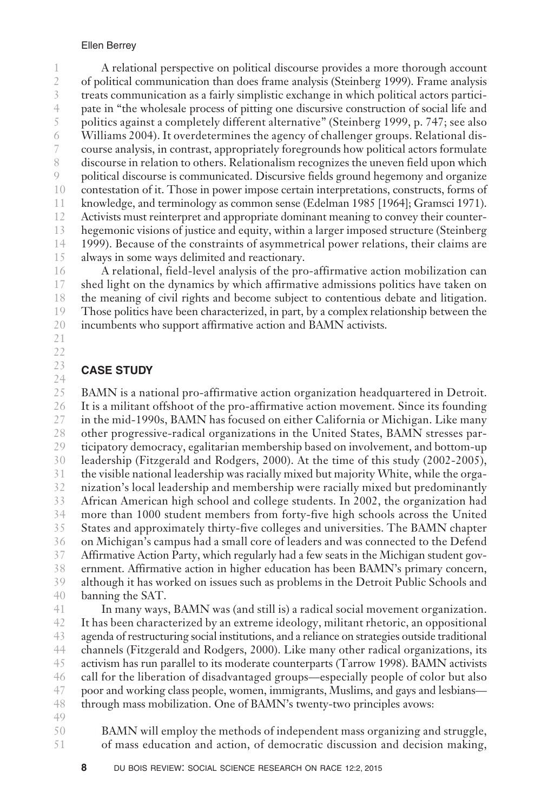1 2 3 4 5 6 7 8 9 10 11 12 13 14 15 A relational perspective on political discourse provides a more thorough account of political communication than does frame analysis (Steinberg 1999 ). Frame analysis treats communication as a fairly simplistic exchange in which political actors participate in "the wholesale process of pitting one discursive construction of social life and politics against a completely different alternative" (Steinberg 1999 , p. 747; see also Williams 2004). It overdetermines the agency of challenger groups. Relational discourse analysis, in contrast, appropriately foregrounds how political actors formulate discourse in relation to others. Relationalism recognizes the uneven field upon which political discourse is communicated. Discursive fields ground hegemony and organize contestation of it. Those in power impose certain interpretations, constructs, forms of knowledge, and terminology as common sense (Edelman 1985 [1964]; Gramsci 1971). Activists must reinterpret and appropriate dominant meaning to convey their counterhegemonic visions of justice and equity, within a larger imposed structure (Steinberg 1999 ). Because of the constraints of asymmetrical power relations, their claims are always in some ways delimited and reactionary.

16 17 18 19 20 21 A relational, field-level analysis of the pro-affirmative action mobilization can shed light on the dynamics by which affirmative admissions politics have taken on the meaning of civil rights and become subject to contentious debate and litigation. Those politics have been characterized, in part, by a complex relationship between the incumbents who support affirmative action and BAMN activists.

22 23

### 24 **CASE STUDY**

25 26 27 28 29 30 31 32 33 34 35 36 37 38 39 40 BAMN is a national pro-affirmative action organization headquartered in Detroit. It is a militant offshoot of the pro-affirmative action movement. Since its founding in the mid-1990s, BAMN has focused on either California or Michigan. Like many other progressive-radical organizations in the United States, BAMN stresses participatory democracy, egalitarian membership based on involvement, and bottom-up leadership (Fitzgerald and Rodgers, 2000). At the time of this study (2002-2005), the visible national leadership was racially mixed but majority White, while the organization's local leadership and membership were racially mixed but predominantly African American high school and college students. In 2002, the organization had more than 1000 student members from forty-five high schools across the United States and approximately thirty-five colleges and universities. The BAMN chapter on Michigan's campus had a small core of leaders and was connected to the Defend Affirmative Action Party, which regularly had a few seats in the Michigan student government. Affirmative action in higher education has been BAMN's primary concern, although it has worked on issues such as problems in the Detroit Public Schools and banning the SAT.

41 42 43 44 45 46 47 48 In many ways, BAMN was (and still is) a radical social movement organization. It has been characterized by an extreme ideology, militant rhetoric, an oppositional agenda of restructuring social institutions, and a reliance on strategies outside traditional channels (Fitzgerald and Rodgers, 2000). Like many other radical organizations, its activism has run parallel to its moderate counterparts (Tarrow 1998). BAMN activists call for the liberation of disadvantaged groups—especially people of color but also poor and working class people, women, immigrants, Muslims, and gays and lesbians through mass mobilization. One of BAMN's twenty-two principles avows:

49 50

51

BAMN will employ the methods of independent mass organizing and struggle, of mass education and action, of democratic discussion and decision making,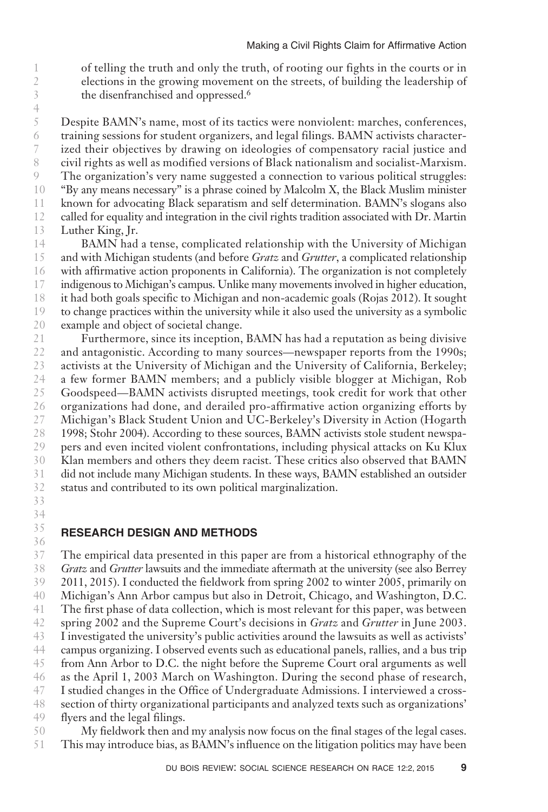of telling the truth and only the truth, of rooting our fights in the courts or in elections in the growing movement on the streets, of building the leadership of the disenfranchised and oppressed.<sup>6</sup>

5 6 7 8 9 10 11 12 13 Despite BAMN's name, most of its tactics were nonviolent: marches, conferences, training sessions for student organizers, and legal filings. BAMN activists characterized their objectives by drawing on ideologies of compensatory racial justice and civil rights as well as modified versions of Black nationalism and socialist-Marxism. The organization's very name suggested a connection to various political struggles: "By any means necessary" is a phrase coined by Malcolm X, the Black Muslim minister known for advocating Black separatism and self determination. BAMN's slogans also called for equality and integration in the civil rights tradition associated with Dr. Martin Luther King, Jr.

14 15 16 17 18 19 20 BAMN had a tense, complicated relationship with the University of Michigan and with Michigan students (and before *Gratz* and *Grutter*, a complicated relationship with affirmative action proponents in California). The organization is not completely indigenous to Michigan's campus. Unlike many movements involved in higher education, it had both goals specific to Michigan and non-academic goals (Rojas 2012). It sought to change practices within the university while it also used the university as a symbolic example and object of societal change.

21 22 23 24 25 26 27 28 29 30 31 32 Furthermore, since its inception, BAMN has had a reputation as being divisive and antagonistic. According to many sources—newspaper reports from the 1990s; activists at the University of Michigan and the University of California, Berkeley; a few former BAMN members; and a publicly visible blogger at Michigan, Rob Goodspeed—BAMN activists disrupted meetings, took credit for work that other organizations had done, and derailed pro-affirmative action organizing efforts by Michigan's Black Student Union and UC-Berkeley's Diversity in Action (Hogarth 1998; Stohr 2004). According to these sources, BAMN activists stole student newspapers and even incited violent confrontations, including physical attacks on Ku Klux Klan members and others they deem racist. These critics also observed that BAMN did not include many Michigan students. In these ways, BAMN established an outsider status and contributed to its own political marginalization.

33 34

#### 35 36 **RESEARCH DESIGN AND METHODS**

37 38 39 40 41 42 43 44 45 46 47 48 49 The empirical data presented in this paper are from a historical ethnography of the *Gratz* and *Grutter* lawsuits and the immediate aftermath at the university (see also Berrey 2011 , 2015 ). I conducted the fieldwork from spring 2002 to winter 2005, primarily on Michigan's Ann Arbor campus but also in Detroit, Chicago, and Washington, D.C. The first phase of data collection, which is most relevant for this paper, was between spring 2002 and the Supreme Court's decisions in *Gratz* and *Grutter* in June 2003. I investigated the university's public activities around the lawsuits as well as activists' campus organizing. I observed events such as educational panels, rallies, and a bus trip from Ann Arbor to D.C. the night before the Supreme Court oral arguments as well as the April 1, 2003 March on Washington. During the second phase of research, I studied changes in the Office of Undergraduate Admissions. I interviewed a crosssection of thirty organizational participants and analyzed texts such as organizations' flyers and the legal filings.

50 51 My fieldwork then and my analysis now focus on the final stages of the legal cases. This may introduce bias, as BAMN's influence on the litigation politics may have been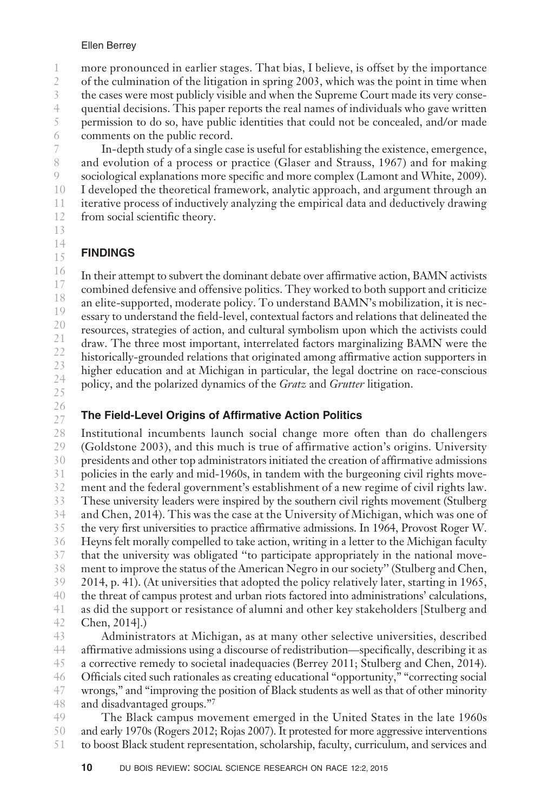1 2 3 4 5 6 more pronounced in earlier stages. That bias, I believe, is offset by the importance of the culmination of the litigation in spring 2003, which was the point in time when the cases were most publicly visible and when the Supreme Court made its very consequential decisions. This paper reports the real names of individuals who gave written permission to do so, have public identities that could not be concealed, and/or made comments on the public record.

7 8 9 10 11 12 In-depth study of a single case is useful for establishing the existence, emergence, and evolution of a process or practice (Glaser and Strauss, 1967 ) and for making sociological explanations more specific and more complex (Lamont and White, 2009). I developed the theoretical framework, analytic approach, and argument through an iterative process of inductively analyzing the empirical data and deductively drawing from social scientific theory.

14

13

#### 15 **FINDINGS**

16 17 18 19 20 21 22 23 24 25 In their attempt to subvert the dominant debate over affirmative action, BAMN activists combined defensive and offensive politics. They worked to both support and criticize an elite-supported, moderate policy. To understand BAMN's mobilization, it is necessary to understand the field-level, contextual factors and relations that delineated the resources, strategies of action, and cultural symbolism upon which the activists could draw. The three most important, interrelated factors marginalizing BAMN were the historically-grounded relations that originated among affirmative action supporters in higher education and at Michigan in particular, the legal doctrine on race-conscious policy, and the polarized dynamics of the *Gratz* and *Grutter* litigation.

26

#### 27 **The Field-Level Origins of Affirmative Action Politics**

28 29 30 31 32 33 34 35 36 37 38 39 40 41 42 Institutional incumbents launch social change more often than do challengers (Goldstone 2003 ), and this much is true of affirmative action's origins. University presidents and other top administrators initiated the creation of affirmative admissions policies in the early and mid-1960s, in tandem with the burgeoning civil rights movement and the federal government's establishment of a new regime of civil rights law. These university leaders were inspired by the southern civil rights movement (Stulberg and Chen, 2014). This was the case at the University of Michigan, which was one of the very first universities to practice affirmative admissions. In 1964, Provost Roger W. Heyns felt morally compelled to take action, writing in a letter to the Michigan faculty that the university was obligated ''to participate appropriately in the national movement to improve the status of the American Negro in our society'' (Stulberg and Chen, 2014 , p. 41). (At universities that adopted the policy relatively later, starting in 1965, the threat of campus protest and urban riots factored into administrations' calculations, as did the support or resistance of alumni and other key stakeholders [Stulberg and  $Chen, 2014$ .)

43 44 45 46 47 48 Administrators at Michigan, as at many other selective universities, described affirmative admissions using a discourse of redistribution—specifically, describing it as a corrective remedy to societal inadequacies (Berrey 2011; Stulberg and Chen, 2014). Officials cited such rationales as creating educational "opportunity," "correcting social wrongs," and "improving the position of Black students as well as that of other minority and disadvantaged groups."7

49 50 51 The Black campus movement emerged in the United States in the late 1960s and early 1970s (Rogers 2012; Rojas 2007). It protested for more aggressive interventions to boost Black student representation, scholarship, faculty, curriculum, and services and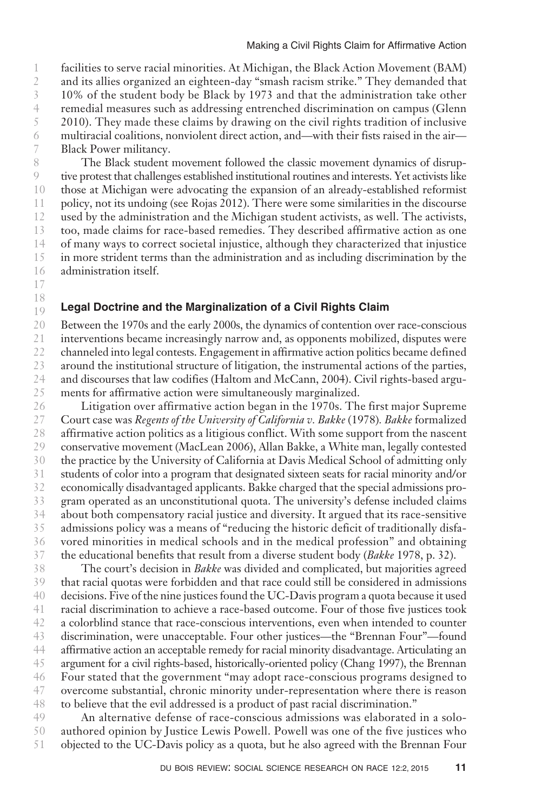1 2 3 4 5 6 7 facilities to serve racial minorities. At Michigan, the Black Action Movement (BAM) and its allies organized an eighteen-day "smash racism strike." They demanded that 10% of the student body be Black by 1973 and that the administration take other remedial measures such as addressing entrenched discrimination on campus (Glenn 2010). They made these claims by drawing on the civil rights tradition of inclusive multiracial coalitions, nonviolent direct action, and—with their fists raised in the air— Black Power militancy.

8 9 10 11 12 13 14 15 16 The Black student movement followed the classic movement dynamics of disruptive protest that challenges established institutional routines and interests. Yet activists like those at Michigan were advocating the expansion of an already-established reformist policy, not its undoing (see Rojas 2012). There were some similarities in the discourse used by the administration and the Michigan student activists, as well. The activists, too, made claims for race-based remedies. They described affirmative action as one of many ways to correct societal injustice, although they characterized that injustice in more strident terms than the administration and as including discrimination by the administration itself.

17

#### 18 19 **Legal Doctrine and the Marginalization of a Civil Rights Claim**

20 21 22 23 24 25 Between the 1970s and the early 2000s, the dynamics of contention over race-conscious interventions became increasingly narrow and, as opponents mobilized, disputes were channeled into legal contests. Engagement in affirmative action politics became defined around the institutional structure of litigation, the instrumental actions of the parties, and discourses that law codifies (Haltom and McCann, 2004). Civil rights-based arguments for affirmative action were simultaneously marginalized.

26 27 28 29 30 31 32 33 34 35 36 37 Litigation over affirmative action began in the 1970s. The first major Supreme Court case was *Regents of the University of California v. Bakke* (1978). Bakke formalized affirmative action politics as a litigious conflict. With some support from the nascent conservative movement (MacLean 2006), Allan Bakke, a White man, legally contested the practice by the University of California at Davis Medical School of admitting only students of color into a program that designated sixteen seats for racial minority and/or economically disadvantaged applicants. Bakke charged that the special admissions program operated as an unconstitutional quota. The university's defense included claims about both compensatory racial justice and diversity. It argued that its race-sensitive admissions policy was a means of "reducing the historic deficit of traditionally disfavored minorities in medical schools and in the medical profession" and obtaining the educational benefits that result from a diverse student body (*Bakke* 1978, p. 32).

38 39 40 41 42 43 44 45 46 47 48 The court's decision in *Bakke* was divided and complicated, but majorities agreed that racial quotas were forbidden and that race could still be considered in admissions decisions. Five of the nine justices found the UC-Davis program a quota because it used racial discrimination to achieve a race-based outcome. Four of those five justices took a colorblind stance that race-conscious interventions, even when intended to counter discrimination, were unacceptable. Four other justices-the "Brennan Four"-found affirmative action an acceptable remedy for racial minority disadvantage. Articulating an argument for a civil rights-based, historically-oriented policy (Chang 1997), the Brennan Four stated that the government "may adopt race-conscious programs designed to overcome substantial, chronic minority under-representation where there is reason to believe that the evil addressed is a product of past racial discrimination."

49 50 51 An alternative defense of race-conscious admissions was elaborated in a soloauthored opinion by Justice Lewis Powell. Powell was one of the five justices who objected to the UC-Davis policy as a quota, but he also agreed with the Brennan Four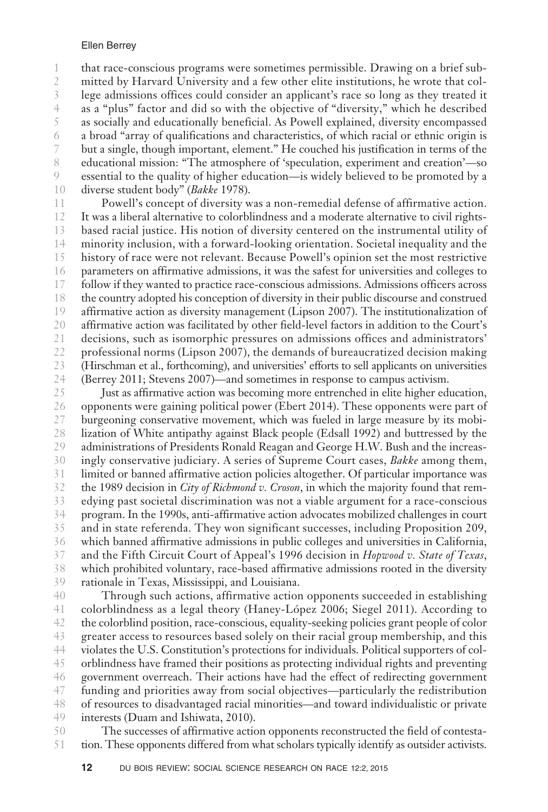1 2 3 4 5 6 7 8 9 10 that race-conscious programs were sometimes permissible. Drawing on a brief submitted by Harvard University and a few other elite institutions, he wrote that college admissions offices could consider an applicant's race so long as they treated it as a "plus" factor and did so with the objective of "diversity," which he described as socially and educationally beneficial. As Powell explained, diversity encompassed a broad "array of qualifications and characteristics, of which racial or ethnic origin is but a single, though important, element." He couched his justification in terms of the educational mission: "The atmosphere of 'speculation, experiment and creation'—so essential to the quality of higher education—is widely believed to be promoted by a diverse student body" (Bakke 1978).

11 12 13 14 15 16 17 18 19 20 21 22 23 24 Powell's concept of diversity was a non-remedial defense of affirmative action. It was a liberal alternative to colorblindness and a moderate alternative to civil rightsbased racial justice. His notion of diversity centered on the instrumental utility of minority inclusion, with a forward-looking orientation. Societal inequality and the history of race were not relevant. Because Powell's opinion set the most restrictive parameters on affirmative admissions, it was the safest for universities and colleges to follow if they wanted to practice race-conscious admissions. Admissions officers across the country adopted his conception of diversity in their public discourse and construed affirmative action as diversity management (Lipson 2007). The institutionalization of affirmative action was facilitated by other field-level factors in addition to the Court's decisions, such as isomorphic pressures on admissions offices and administrators' professional norms (Lipson 2007), the demands of bureaucratized decision making (Hirschman et al., forthcoming), and universities' efforts to sell applicants on universities (Berrey 2011; Stevens 2007)—and sometimes in response to campus activism.

25 26 27 28 29 30 31 32 33 34 35 36 37 38 39 Just as affirmative action was becoming more entrenched in elite higher education, opponents were gaining political power (Ebert 2014). These opponents were part of burgeoning conservative movement, which was fueled in large measure by its mobilization of White antipathy against Black people (Edsall 1992) and buttressed by the administrations of Presidents Ronald Reagan and George H.W. Bush and the increasingly conservative judiciary. A series of Supreme Court cases, *Bakke* among them, limited or banned affirmative action policies altogether. Of particular importance was the 1989 decision in *City of Richmond v. Croson*, in which the majority found that remedying past societal discrimination was not a viable argument for a race-conscious program. In the 1990s, anti-affirmative action advocates mobilized challenges in court and in state referenda. They won significant successes, including Proposition 209, which banned affirmative admissions in public colleges and universities in California, and the Fifth Circuit Court of Appeal's 1996 decision in *Hopwood v. State of Texas*, which prohibited voluntary, race-based affirmative admissions rooted in the diversity rationale in Texas, Mississippi, and Louisiana.

40 41 42 43 44 45 46 47 48 49 Through such actions, affirmative action opponents succeeded in establishing colorblindness as a legal theory (Haney-López 2006 ; Siegel 2011 ). According to the colorblind position, race-conscious, equality-seeking policies grant people of color greater access to resources based solely on their racial group membership, and this violates the U.S. Constitution's protections for individuals. Political supporters of colorblindness have framed their positions as protecting individual rights and preventing government overreach. Their actions have had the effect of redirecting government funding and priorities away from social objectives—particularly the redistribution of resources to disadvantaged racial minorities—and toward individualistic or private interests (Duam and Ishiwata, 2010).

50 51 The successes of affirmative action opponents reconstructed the field of contestation. These opponents differed from what scholars typically identify as outsider activists.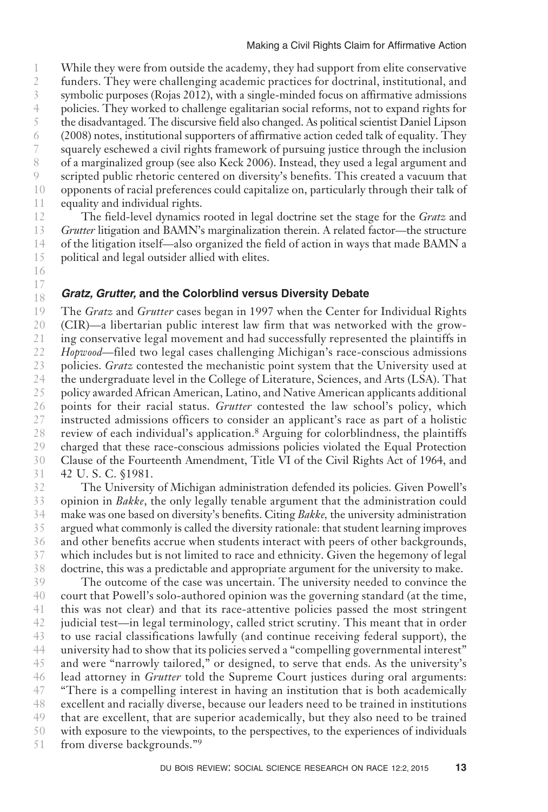1 2 3 4 5 6 7 8 9 10 11 While they were from outside the academy, they had support from elite conservative funders. They were challenging academic practices for doctrinal, institutional, and symbolic purposes (Rojas 2012), with a single-minded focus on affirmative admissions policies. They worked to challenge egalitarian social reforms, not to expand rights for the disadvantaged. The discursive field also changed. As political scientist Daniel Lipson (2008) notes, institutional supporters of affirmative action ceded talk of equality. They squarely eschewed a civil rights framework of pursuing justice through the inclusion of a marginalized group (see also Keck 2006). Instead, they used a legal argument and scripted public rhetoric centered on diversity's benefits. This created a vacuum that opponents of racial preferences could capitalize on, particularly through their talk of equality and individual rights.

12 13 14 15 The field-level dynamics rooted in legal doctrine set the stage for the *Gratz* and *Grutter* litigation and BAMN's marginalization therein. A related factor—the structure of the litigation itself—also organized the field of action in ways that made BAMN a political and legal outsider allied with elites.

#### 17 18 *Gratz, Grutter,* **and the Colorblind versus Diversity Debate**

16

19 20 21 22 23 24 25 26 27 28 29 30 31 The *Gratz* and *Grutter* cases began in 1997 when the Center for Individual Rights (CIR)—a libertarian public interest law firm that was networked with the growing conservative legal movement and had successfully represented the plaintiffs in *Hopwood*—filed two legal cases challenging Michigan's race-conscious admissions policies. *Gratz* contested the mechanistic point system that the University used at the undergraduate level in the College of Literature, Sciences, and Arts (LSA). That policy awarded African American, Latino, and Native American applicants additional points for their racial status. *Grutter* contested the law school's policy, which instructed admissions officers to consider an applicant's race as part of a holistic review of each individual's application. 8 Arguing for colorblindness, the plaintiffs charged that these race-conscious admissions policies violated the Equal Protection Clause of the Fourteenth Amendment, Title VI of the Civil Rights Act of 1964, and 42 U. S. C. §1981.

32 33 34 35 36 37 38 The University of Michigan administration defended its policies. Given Powell's opinion in *Bakke*, the only legally tenable argument that the administration could make was one based on diversity's benefits. Citing *Bakke,* the university administration argued what commonly is called the diversity rationale: that student learning improves and other benefits accrue when students interact with peers of other backgrounds, which includes but is not limited to race and ethnicity. Given the hegemony of legal doctrine, this was a predictable and appropriate argument for the university to make.

39 40 41 42 43 44 45 46 47 48 49 50 51 The outcome of the case was uncertain. The university needed to convince the court that Powell's solo-authored opinion was the governing standard (at the time, this was not clear) and that its race-attentive policies passed the most stringent judicial test—in legal terminology, called strict scrutiny. This meant that in order to use racial classifications lawfully (and continue receiving federal support), the university had to show that its policies served a "compelling governmental interest" and were "narrowly tailored," or designed, to serve that ends. As the university's lead attorney in *Grutter* told the Supreme Court justices during oral arguments: "There is a compelling interest in having an institution that is both academically excellent and racially diverse, because our leaders need to be trained in institutions that are excellent, that are superior academically, but they also need to be trained with exposure to the viewpoints, to the perspectives, to the experiences of individuals from diverse backgrounds."<sup>9</sup>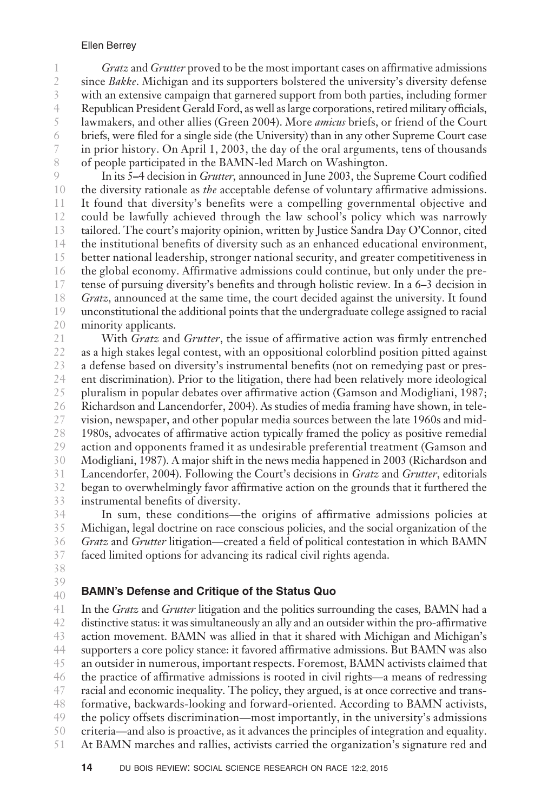1 2 3 4 5 6 7 8 *Gratz* and *Grutter* proved to be the most important cases on affirmative admissions since *Bakke*. Michigan and its supporters bolstered the university's diversity defense with an extensive campaign that garnered support from both parties, including former Republican President Gerald Ford, as well as large corporations, retired military officials, lawmakers, and other allies (Green 2004). More *amicus* briefs, or friend of the Court briefs, were filed for a single side (the University) than in any other Supreme Court case in prior history. On April 1, 2003, the day of the oral arguments, tens of thousands of people participated in the BAMN-led March on Washington.

9 10 11 12 13 14 15 16 17 18 19 20 In its 5 **–**4 decision in *Grutter,* announced in June 2003, the Supreme Court codified the diversity rationale as *the* acceptable defense of voluntary affirmative admissions. It found that diversity's benefits were a compelling governmental objective and could be lawfully achieved through the law school's policy which was narrowly tailored. The court's majority opinion, written by Justice Sandra Day O'Connor, cited the institutional benefits of diversity such as an enhanced educational environment, better national leadership, stronger national security, and greater competitiveness in the global economy. Affirmative admissions could continue, but only under the pretense of pursuing diversity's benefits and through holistic review. In a 6 **–**3 decision in *Gratz*, announced at the same time, the court decided against the university. It found unconstitutional the additional points that the undergraduate college assigned to racial minority applicants.

21 22 23 24 25 26 27 28 29 30 31 32 33 With *Gratz* and *Grutter*, the issue of affirmative action was firmly entrenched as a high stakes legal contest, with an oppositional colorblind position pitted against a defense based on diversity's instrumental benefits (not on remedying past or present discrimination). Prior to the litigation, there had been relatively more ideological pluralism in popular debates over affirmative action (Gamson and Modigliani, 1987; Richardson and Lancendorfer, 2004). As studies of media framing have shown, in television, newspaper, and other popular media sources between the late 1960s and mid-1980s, advocates of affirmative action typically framed the policy as positive remedial action and opponents framed it as undesirable preferential treatment (Gamson and Modigliani, 1987 ). A major shift in the news media happened in 2003 (Richardson and Lancendorfer, 2004). Following the Court's decisions in *Gratz* and *Grutter*, editorials began to overwhelmingly favor affirmative action on the grounds that it furthered the instrumental benefits of diversity.

34 35 36 37 In sum, these conditions—the origins of affirmative admissions policies at Michigan, legal doctrine on race conscious policies, and the social organization of the *Gratz* and *Grutter* litigation—created a field of political contestation in which BAMN faced limited options for advancing its radical civil rights agenda.

38 39

#### 40 **BAMN's Defense and Critique of the Status Quo**

41 42 43 44 45 46 47 48 49 50 51 In the *Gratz* and *Grutter* litigation and the politics surrounding the cases *,* BAMN had a distinctive status: it was simultaneously an ally and an outsider within the pro-affirmative action movement. BAMN was allied in that it shared with Michigan and Michigan's supporters a core policy stance: it favored affirmative admissions. But BAMN was also an outsider in numerous, important respects. Foremost, BAMN activists claimed that the practice of affirmative admissions is rooted in civil rights—a means of redressing racial and economic inequality. The policy, they argued, is at once corrective and transformative, backwards-looking and forward-oriented. According to BAMN activists, the policy offsets discrimination—most importantly, in the university's admissions criteria—and also is proactive, as it advances the principles of integration and equality. At BAMN marches and rallies, activists carried the organization's signature red and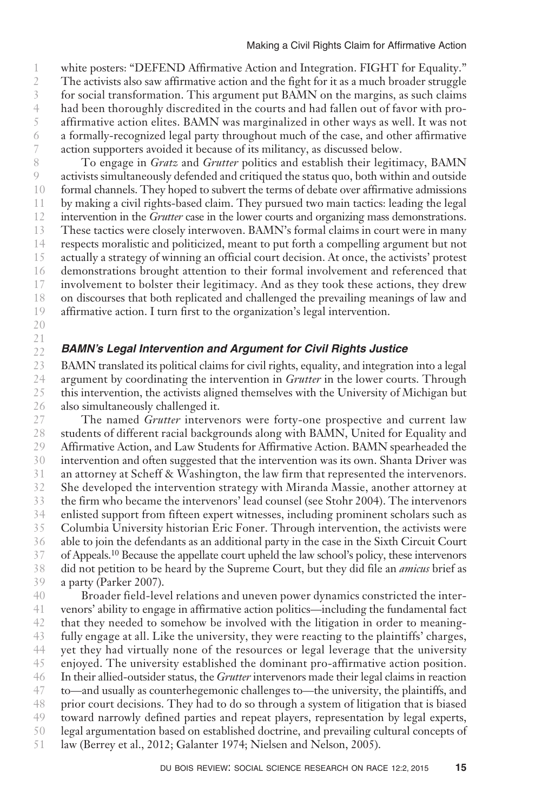1 2 3 4 5 6 7 white posters: "DEFEND Affirmative Action and Integration. FIGHT for Equality." The activists also saw affirmative action and the fight for it as a much broader struggle for social transformation. This argument put BAMN on the margins, as such claims had been thoroughly discredited in the courts and had fallen out of favor with proaffirmative action elites. BAMN was marginalized in other ways as well. It was not a formally-recognized legal party throughout much of the case, and other affirmative action supporters avoided it because of its militancy, as discussed below.

8 9 10 11 12 13 14 15 16 17 18 19 To engage in *Gratz* and *Grutter* politics and establish their legitimacy, BAMN activists simultaneously defended and critiqued the status quo, both within and outside formal channels. They hoped to subvert the terms of debate over affirmative admissions by making a civil rights-based claim. They pursued two main tactics: leading the legal intervention in the *Grutter* case in the lower courts and organizing mass demonstrations. These tactics were closely interwoven. BAMN's formal claims in court were in many respects moralistic and politicized, meant to put forth a compelling argument but not actually a strategy of winning an official court decision. At once, the activists' protest demonstrations brought attention to their formal involvement and referenced that involvement to bolster their legitimacy. And as they took these actions, they drew on discourses that both replicated and challenged the prevailing meanings of law and affirmative action. I turn first to the organization's legal intervention.

#### 21 22 *BAMN's Legal Intervention and Argument for Civil Rights Justice*

20

23 24 25 26 BAMN translated its political claims for civil rights, equality, and integration into a legal argument by coordinating the intervention in *Grutter* in the lower courts. Through this intervention, the activists aligned themselves with the University of Michigan but also simultaneously challenged it.

27 28 29 30 31 32 33 34 35 36 37 38 39 The named *Grutter* intervenors were forty-one prospective and current law students of different racial backgrounds along with BAMN, United for Equality and Affirmative Action, and Law Students for Affirmative Action. BAMN spearheaded the intervention and often suggested that the intervention was its own. Shanta Driver was an attorney at Scheff & Washington, the law firm that represented the intervenors. She developed the intervention strategy with Miranda Massie, another attorney at the firm who became the intervenors' lead counsel (see Stohr 2004). The intervenors enlisted support from fifteen expert witnesses, including prominent scholars such as Columbia University historian Eric Foner. Through intervention, the activists were able to join the defendants as an additional party in the case in the Sixth Circuit Court of Appeals. 10 Because the appellate court upheld the law school's policy, these intervenors did not petition to be heard by the Supreme Court, but they did file an *amicus* brief as a party (Parker 2007).

40 41 42 43 44 45 46 47 48 49 50 51 Broader field-level relations and uneven power dynamics constricted the intervenors' ability to engage in affirmative action politics—including the fundamental fact that they needed to somehow be involved with the litigation in order to meaningfully engage at all. Like the university, they were reacting to the plaintiffs' charges, yet they had virtually none of the resources or legal leverage that the university enjoyed. The university established the dominant pro-affirmative action position. In their allied-outsider status, the *Grutter* intervenors made their legal claims in reaction to—and usually as counterhegemonic challenges to—the university, the plaintiffs, and prior court decisions. They had to do so through a system of litigation that is biased toward narrowly defined parties and repeat players, representation by legal experts, legal argumentation based on established doctrine, and prevailing cultural concepts of law (Berrey et al., 2012; Galanter 1974; Nielsen and Nelson, 2005).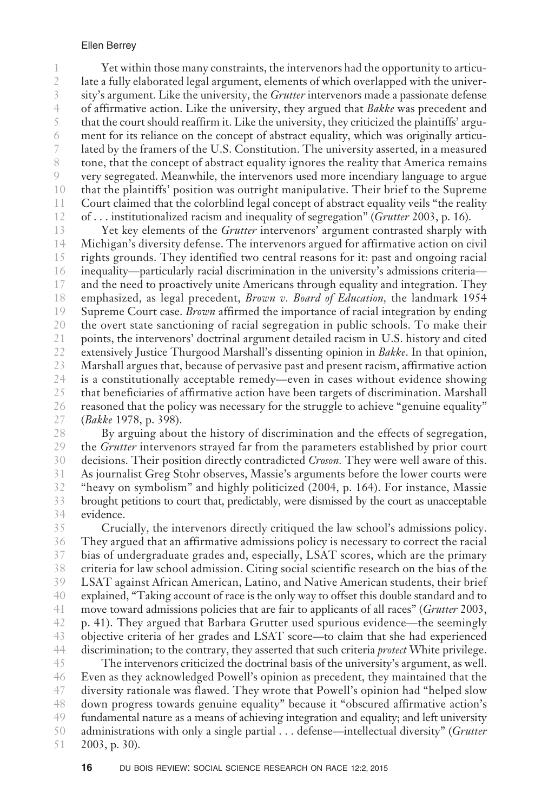1 2 3 4 5 6 7 8 9 10 11 12 Yet within those many constraints, the intervenors had the opportunity to articulate a fully elaborated legal argument, elements of which overlapped with the university's argument. Like the university, the *Grutter* intervenors made a passionate defense of affirmative action. Like the university, they argued that *Bakke* was precedent and that the court should reaffirm it. Like the university, they criticized the plaintiffs' argument for its reliance on the concept of abstract equality, which was originally articulated by the framers of the U.S. Constitution. The university asserted, in a measured tone, that the concept of abstract equality ignores the reality that America remains very segregated. Meanwhile, the intervenors used more incendiary language to argue that the plaintiffs' position was outright manipulative. Their brief to the Supreme Court claimed that the colorblind legal concept of abstract equality veils "the reality of . . . institutionalized racism and inequality of segregation" ( *Grutter* 2003, p. 16).

13 14 15 16 17 18 19 20 21 22 23 24 25 26 27 Yet key elements of the *Grutter* intervenors' argument contrasted sharply with Michigan's diversity defense. The intervenors argued for affirmative action on civil rights grounds. They identified two central reasons for it: past and ongoing racial inequality—particularly racial discrimination in the university's admissions criteria and the need to proactively unite Americans through equality and integration. They emphasized, as legal precedent, *Brown v. Board of Education,* the landmark 1954 Supreme Court case. *Brown* affirmed the importance of racial integration by ending the overt state sanctioning of racial segregation in public schools. To make their points, the intervenors' doctrinal argument detailed racism in U.S. history and cited extensively Justice Thurgood Marshall's dissenting opinion in *Bakke*. In that opinion, Marshall argues that, because of pervasive past and present racism, affirmative action is a constitutionally acceptable remedy—even in cases without evidence showing that beneficiaries of affirmative action have been targets of discrimination. Marshall reasoned that the policy was necessary for the struggle to achieve "genuine equality" (*Bakke* 1978, p. 398).

28 29 30 31 32 33 34 By arguing about the history of discrimination and the effects of segregation, the *Grutter* intervenors strayed far from the parameters established by prior court decisions. Their position directly contradicted *Croson.* They were well aware of this. As journalist Greg Stohr observes, Massie's arguments before the lower courts were "heavy on symbolism" and highly politicized (2004, p. 164). For instance, Massie brought petitions to court that, predictably, were dismissed by the court as unacceptable evidence.

35 36 37 38 39 40 41 42 43 44 Crucially, the intervenors directly critiqued the law school's admissions policy. They argued that an affirmative admissions policy is necessary to correct the racial bias of undergraduate grades and, especially, LSAT scores, which are the primary criteria for law school admission. Citing social scientific research on the bias of the LSAT against African American, Latino, and Native American students, their brief explained, "Taking account of race is the only way to offset this double standard and to move toward admissions policies that are fair to applicants of all races" ( *Grutter* 2003 , p. 41). They argued that Barbara Grutter used spurious evidence—the seemingly objective criteria of her grades and LSAT score—to claim that she had experienced discrimination; to the contrary, they asserted that such criteria *protect* White privilege.

45 46 47 48 49 50 51 The intervenors criticized the doctrinal basis of the university's argument, as well. Even as they acknowledged Powell's opinion as precedent, they maintained that the diversity rationale was flawed. They wrote that Powell's opinion had "helped slow down progress towards genuine equality" because it "obscured affirmative action's fundamental nature as a means of achieving integration and equality; and left university administrations with only a single partial . . . defense—intellectual diversity" (Grutter 2003 , p. 30).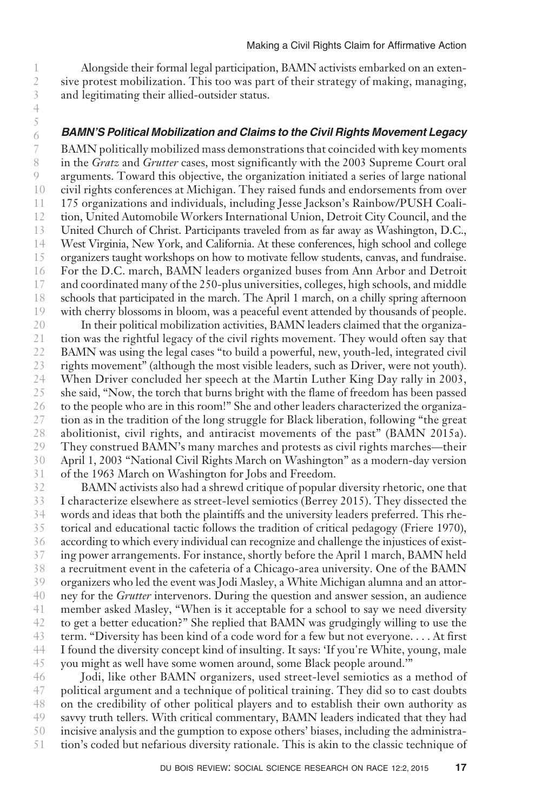Alongside their formal legal participation, BAMN activists embarked on an extensive protest mobilization. This too was part of their strategy of making, managing, and legitimating their allied-outsider status.

# *BAMN'S Political Mobilization and Claims to the Civil Rights Movement Legacy*

7 8 9 10 11 12 13 14 15 16 17 18 19 20 21 22 23 24 25 26 27 28 29 30 31 BAMN politically mobilized mass demonstrations that coincided with key moments in the *Gratz* and *Grutter* cases, most significantly with the 2003 Supreme Court oral arguments. Toward this objective, the organization initiated a series of large national civil rights conferences at Michigan. They raised funds and endorsements from over 175 organizations and individuals, including Jesse Jackson's Rainbow/PUSH Coalition, United Automobile Workers International Union, Detroit City Council, and the United Church of Christ. Participants traveled from as far away as Washington, D.C., West Virginia, New York, and California. At these conferences, high school and college organizers taught workshops on how to motivate fellow students, canvas, and fundraise. For the D.C. march, BAMN leaders organized buses from Ann Arbor and Detroit and coordinated many of the 250-plus universities, colleges, high schools, and middle schools that participated in the march. The April 1 march, on a chilly spring afternoon with cherry blossoms in bloom, was a peaceful event attended by thousands of people. In their political mobilization activities, BAMN leaders claimed that the organization was the rightful legacy of the civil rights movement. They would often say that BAMN was using the legal cases "to build a powerful, new, youth-led, integrated civil rights movement" (although the most visible leaders, such as Driver, were not youth). When Driver concluded her speech at the Martin Luther King Day rally in 2003, she said, "Now, the torch that burns bright with the flame of freedom has been passed to the people who are in this room!" She and other leaders characterized the organization as in the tradition of the long struggle for Black liberation, following "the great abolitionist, civil rights, and antiracist movements of the past" (BAMN 2015a). They construed BAMN's many marches and protests as civil rights marches—their April 1, 2003 "National Civil Rights March on Washington" as a modern-day version of the 1963 March on Washington for Jobs and Freedom.

32 33 34 35 36 37 38 39 40 41 42 43 44 45 BAMN activists also had a shrewd critique of popular diversity rhetoric, one that I characterize elsewhere as street-level semiotics (Berrey 2015 ). They dissected the words and ideas that both the plaintiffs and the university leaders preferred. This rhetorical and educational tactic follows the tradition of critical pedagogy (Friere 1970), according to which every individual can recognize and challenge the injustices of existing power arrangements. For instance, shortly before the April 1 march, BAMN held a recruitment event in the cafeteria of a Chicago-area university. One of the BAMN organizers who led the event was Jodi Masley, a White Michigan alumna and an attorney for the *Grutter* intervenors. During the question and answer session, an audience member asked Masley, "When is it acceptable for a school to say we need diversity to get a better education?" She replied that BAMN was grudgingly willing to use the term. "Diversity has been kind of a code word for a few but not everyone. . . . At first I found the diversity concept kind of insulting. It says: 'If you're White, young, male you might as well have some women around, some Black people around.'"

46 47 48 49 50 51 Jodi, like other BAMN organizers, used street-level semiotics as a method of political argument and a technique of political training. They did so to cast doubts on the credibility of other political players and to establish their own authority as savvy truth tellers. With critical commentary, BAMN leaders indicated that they had incisive analysis and the gumption to expose others' biases, including the administration's coded but nefarious diversity rationale. This is akin to the classic technique of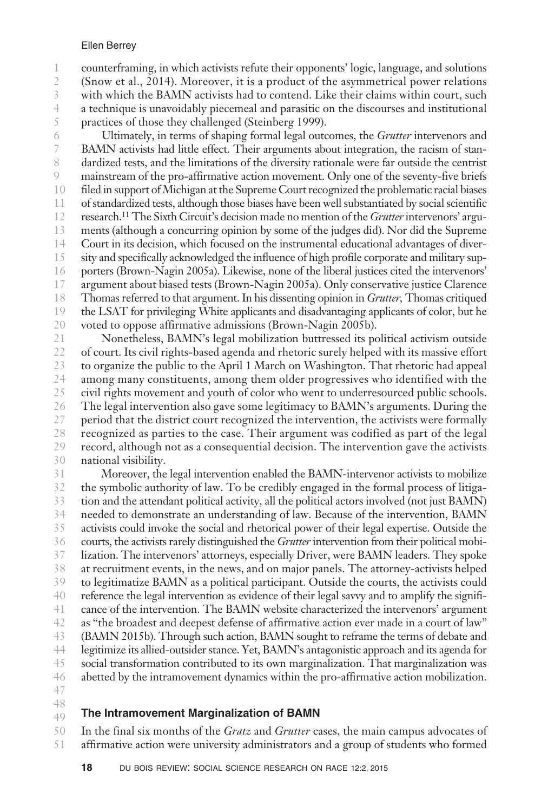1 2 3 4 5 counterframing, in which activists refute their opponents' logic, language, and solutions (Snow et al., 2014 ). Moreover, it is a product of the asymmetrical power relations with which the BAMN activists had to contend. Like their claims within court, such a technique is unavoidably piecemeal and parasitic on the discourses and institutional practices of those they challenged (Steinberg 1999).

6 7 8 9 10 11 12 13 14 15 16 17 18 19 20 Ultimately, in terms of shaping formal legal outcomes, the *Grutter* intervenors and BAMN activists had little effect. Their arguments about integration, the racism of standardized tests, and the limitations of the diversity rationale were far outside the centrist mainstream of the pro-affirmative action movement. Only one of the seventy-five briefs filed in support of Michigan at the Supreme Court recognized the problematic racial biases of standardized tests, although those biases have been well substantiated by social scientific research. 11 The Sixth Circuit's decision made no mention of the *Grutter* intervenors' arguments (although a concurring opinion by some of the judges did). Nor did the Supreme Court in its decision, which focused on the instrumental educational advantages of diversity and specifically acknowledged the influence of high profile corporate and military supporters (Brown-Nagin 2005a). Likewise, none of the liberal justices cited the intervenors' argument about biased tests (Brown-Nagin 2005a ). Only conservative justice Clarence Thomas referred to that argument. In his dissenting opinion in *Grutter,* Thomas critiqued the LSAT for privileging White applicants and disadvantaging applicants of color, but he voted to oppose affirmative admissions (Brown-Nagin 2005b).

21 22 23 24 25 26 27 28 29 30 Nonetheless, BAMN's legal mobilization buttressed its political activism outside of court. Its civil rights-based agenda and rhetoric surely helped with its massive effort to organize the public to the April 1 March on Washington. That rhetoric had appeal among many constituents, among them older progressives who identified with the civil rights movement and youth of color who went to underresourced public schools. The legal intervention also gave some legitimacy to BAMN's arguments. During the period that the district court recognized the intervention, the activists were formally recognized as parties to the case. Their argument was codified as part of the legal record, although not as a consequential decision. The intervention gave the activists national visibility.

31 32 33 34 35 36 37 38 39 40 41 42 43 44 45 46 47 Moreover, the legal intervention enabled the BAMN-intervenor activists to mobilize the symbolic authority of law. To be credibly engaged in the formal process of litigation and the attendant political activity, all the political actors involved (not just BAMN) needed to demonstrate an understanding of law. Because of the intervention, BAMN activists could invoke the social and rhetorical power of their legal expertise. Outside the courts, the activists rarely distinguished the *Grutter* intervention from their political mobilization. The intervenors' attorneys, especially Driver, were BAMN leaders. They spoke at recruitment events, in the news, and on major panels. The attorney-activists helped to legitimatize BAMN as a political participant. Outside the courts, the activists could reference the legal intervention as evidence of their legal savvy and to amplify the significance of the intervention. The BAMN website characterized the intervenors' argument as "the broadest and deepest defense of affirmative action ever made in a court of law" (BAMN 2015b). Through such action, BAMN sought to reframe the terms of debate and legitimize its allied-outsider stance. Yet, BAMN's antagonistic approach and its agenda for social transformation contributed to its own marginalization. That marginalization was abetted by the intramovement dynamics within the pro-affirmative action mobilization.

48

#### 49 **The Intramovement Marginalization of BAMN**

50 51 In the final six months of the *Gratz* and *Grutter* cases, the main campus advocates of affirmative action were university administrators and a group of students who formed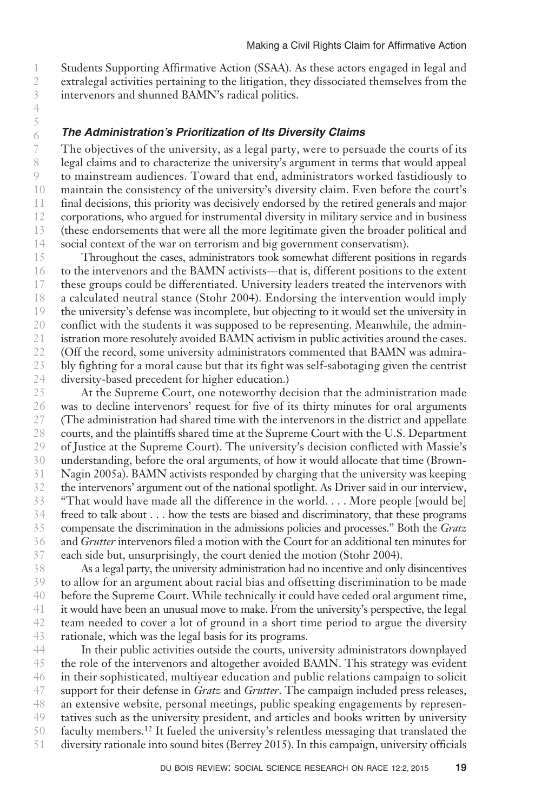1 2 3 Students Supporting Affirmative Action (SSAA). As these actors engaged in legal and extralegal activities pertaining to the litigation, they dissociated themselves from the intervenors and shunned BAMN's radical politics.

4 5

6

# *The Administration's Prioritization of Its Diversity Claims*

7 8 9 10 11 12 13 14 The objectives of the university, as a legal party, were to persuade the courts of its legal claims and to characterize the university's argument in terms that would appeal to mainstream audiences. Toward that end, administrators worked fastidiously to maintain the consistency of the university's diversity claim. Even before the court's final decisions, this priority was decisively endorsed by the retired generals and major corporations, who argued for instrumental diversity in military service and in business (these endorsements that were all the more legitimate given the broader political and social context of the war on terrorism and big government conservatism).

15 16 17 18 19 20 21 22 23 24 Throughout the cases, administrators took somewhat different positions in regards to the intervenors and the BAMN activists—that is, different positions to the extent these groups could be differentiated. University leaders treated the intervenors with a calculated neutral stance (Stohr 2004). Endorsing the intervention would imply the university's defense was incomplete, but objecting to it would set the university in conflict with the students it was supposed to be representing. Meanwhile, the administration more resolutely avoided BAMN activism in public activities around the cases. (Off the record, some university administrators commented that BAMN was admirably fighting for a moral cause but that its fight was self-sabotaging given the centrist diversity-based precedent for higher education.)

25 26 27 28 29 30 31 32 33 34 35 36 37 At the Supreme Court, one noteworthy decision that the administration made was to decline intervenors' request for five of its thirty minutes for oral arguments (The administration had shared time with the intervenors in the district and appellate courts, and the plaintiffs shared time at the Supreme Court with the U.S. Department of Justice at the Supreme Court). The university's decision conflicted with Massie's understanding, before the oral arguments, of how it would allocate that time (Brown-Nagin 2005a ). BAMN activists responded by charging that the university was keeping the intervenors' argument out of the national spotlight. As Driver said in our interview, "That would have made all the difference in the world. . . . More people [would be] freed to talk about . . . how the tests are biased and discriminatory, that these programs compensate the discrimination in the admissions policies and processes." Both the *Gratz* and *Grutter* intervenors filed a motion with the Court for an additional ten minutes for each side but, unsurprisingly, the court denied the motion (Stohr 2004).

38 39 40 41 42 43 As a legal party, the university administration had no incentive and only disincentives to allow for an argument about racial bias and offsetting discrimination to be made before the Supreme Court. While technically it could have ceded oral argument time, it would have been an unusual move to make. From the university's perspective, the legal team needed to cover a lot of ground in a short time period to argue the diversity rationale, which was the legal basis for its programs.

44 45 46 47 48 49 50 51 In their public activities outside the courts, university administrators downplayed the role of the intervenors and altogether avoided BAMN. This strategy was evident in their sophisticated, multiyear education and public relations campaign to solicit support for their defense in *Gratz* and *Grutter*. The campaign included press releases, an extensive website, personal meetings, public speaking engagements by representatives such as the university president, and articles and books written by university faculty members. 12 It fueled the university's relentless messaging that translated the diversity rationale into sound bites (Berrey 2015 ). In this campaign, university officials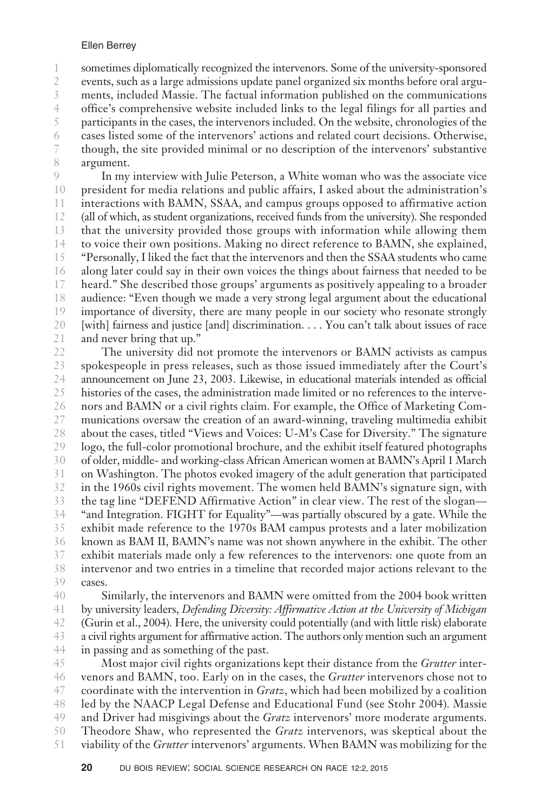1 2 3 4 5 6 7 8 sometimes diplomatically recognized the intervenors. Some of the university-sponsored events, such as a large admissions update panel organized six months before oral arguments, included Massie. The factual information published on the communications office's comprehensive website included links to the legal filings for all parties and participants in the cases, the intervenors included. On the website, chronologies of the cases listed some of the intervenors' actions and related court decisions. Otherwise, though, the site provided minimal or no description of the intervenors' substantive argument.

9 10 11 12 13 14 15 16 17 18 19 20 21 In my interview with Julie Peterson, a White woman who was the associate vice president for media relations and public affairs, I asked about the administration's interactions with BAMN, SSAA, and campus groups opposed to affirmative action (all of which, as student organizations, received funds from the university). She responded that the university provided those groups with information while allowing them to voice their own positions. Making no direct reference to BAMN, she explained, "Personally, I liked the fact that the intervenors and then the SSAA students who came along later could say in their own voices the things about fairness that needed to be heard." She described those groups' arguments as positively appealing to a broader audience: "Even though we made a very strong legal argument about the educational importance of diversity, there are many people in our society who resonate strongly [with] fairness and justice [and] discrimination. . . . You can't talk about issues of race and never bring that up."

22 23 24 25 26 27 28 29 30 31 32 33 34 35 36 37 38 39 The university did not promote the intervenors or BAMN activists as campus spokespeople in press releases, such as those issued immediately after the Court's announcement on June 23, 2003. Likewise, in educational materials intended as official histories of the cases, the administration made limited or no references to the intervenors and BAMN or a civil rights claim. For example, the Office of Marketing Communications oversaw the creation of an award-winning, traveling multimedia exhibit about the cases, titled "Views and Voices: U-M's Case for Diversity." The signature logo, the full-color promotional brochure, and the exhibit itself featured photographs of older, middle- and working-class African American women at BAMN's April 1 March on Washington. The photos evoked imagery of the adult generation that participated in the 1960s civil rights movement. The women held BAMN's signature sign, with the tag line "DEFEND Affirmative Action" in clear view. The rest of the slogan— "and Integration. FIGHT for Equality"—was partially obscured by a gate. While the exhibit made reference to the 1970s BAM campus protests and a later mobilization known as BAM II, BAMN's name was not shown anywhere in the exhibit. The other exhibit materials made only a few references to the intervenors: one quote from an intervenor and two entries in a timeline that recorded major actions relevant to the cases.

40 41 42 43 44 Similarly, the intervenors and BAMN were omitted from the 2004 book written by university leaders, *Defending Diversity: Affirmative Action at the University of Michigan* (Gurin et al., 2004). Here, the university could potentially (and with little risk) elaborate a civil rights argument for affirmative action. The authors only mention such an argument in passing and as something of the past.

45 46 47 48 49 50 51 Most major civil rights organizations kept their distance from the *Grutter* intervenors and BAMN, too. Early on in the cases, the *Grutter* intervenors chose not to coordinate with the intervention in *Gratz*, which had been mobilized by a coalition led by the NAACP Legal Defense and Educational Fund (see Stohr 2004). Massie and Driver had misgivings about the *Gratz* intervenors' more moderate arguments. Theodore Shaw, who represented the *Gratz* intervenors, was skeptical about the viability of the *Grutter* intervenors' arguments. When BAMN was mobilizing for the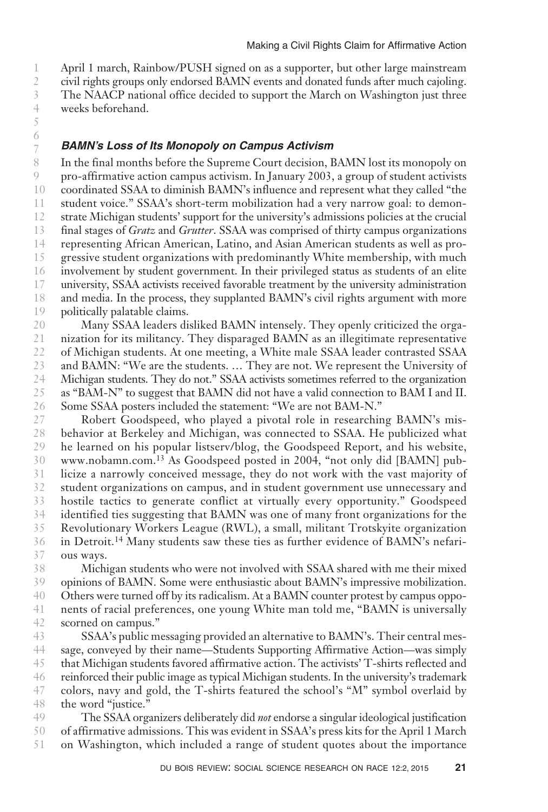1 2 3 4 April 1 march, Rainbow/PUSH signed on as a supporter, but other large mainstream civil rights groups only endorsed BAMN events and donated funds after much cajoling. The NAACP national office decided to support the March on Washington just three weeks beforehand.

# *BAMN's Loss of Its Monopoly on Campus Activism*

5 6 7

8 9 10 11 12 13 14 15 16 17 18 19 In the final months before the Supreme Court decision, BAMN lost its monopoly on pro-affirmative action campus activism. In January 2003, a group of student activists coordinated SSAA to diminish BAMN's influence and represent what they called "the student voice." SSAA's short-term mobilization had a very narrow goal: to demonstrate Michigan students' support for the university's admissions policies at the crucial final stages of *Gratz* and *Grutter*. SSAA was comprised of thirty campus organizations representing African American, Latino, and Asian American students as well as progressive student organizations with predominantly White membership, with much involvement by student government. In their privileged status as students of an elite university, SSAA activists received favorable treatment by the university administration and media. In the process, they supplanted BAMN's civil rights argument with more politically palatable claims.

20 21 22 23 24 25 26 Many SSAA leaders disliked BAMN intensely. They openly criticized the organization for its militancy. They disparaged BAMN as an illegitimate representative of Michigan students. At one meeting, a White male SSAA leader contrasted SSAA and BAMN: "We are the students. … They are not. We represent the University of Michigan students. They do not." SSAA activists sometimes referred to the organization as "BAM-N" to suggest that BAMN did not have a valid connection to BAM I and II. Some SSAA posters included the statement: "We are not BAM-N."

27 28 29 30 31 32 33 34 35 36 37 Robert Goodspeed, who played a pivotal role in researching BAMN's misbehavior at Berkeley and Michigan, was connected to SSAA. He publicized what he learned on his popular listserv/blog, the Goodspeed Report, and his website, www.nobamn.com . 13 As Goodspeed posted in 2004, "not only did [BAMN] publicize a narrowly conceived message, they do not work with the vast majority of student organizations on campus, and in student government use unnecessary and hostile tactics to generate conflict at virtually every opportunity." Goodspeed identified ties suggesting that BAMN was one of many front organizations for the Revolutionary Workers League (RWL), a small, militant Trotskyite organization in Detroit. 14 Many students saw these ties as further evidence of BAMN's nefarious ways.

38 39 40 41 42 Michigan students who were not involved with SSAA shared with me their mixed opinions of BAMN. Some were enthusiastic about BAMN's impressive mobilization. Others were turned off by its radicalism. At a BAMN counter protest by campus opponents of racial preferences, one young White man told me, "BAMN is universally scorned on campus."

43 44 45 46 47 48 SSAA's public messaging provided an alternative to BAMN's. Their central message, conveyed by their name—Students Supporting Affirmative Action—was simply that Michigan students favored affirmative action. The activists' T-shirts reflected and reinforced their public image as typical Michigan students. In the university's trademark colors, navy and gold, the T-shirts featured the school's "M" symbol overlaid by the word "justice."

49 50 51 The SSAA organizers deliberately did *not* endorse a singular ideological justification of affirmative admissions. This was evident in SSAA's press kits for the April 1 March on Washington, which included a range of student quotes about the importance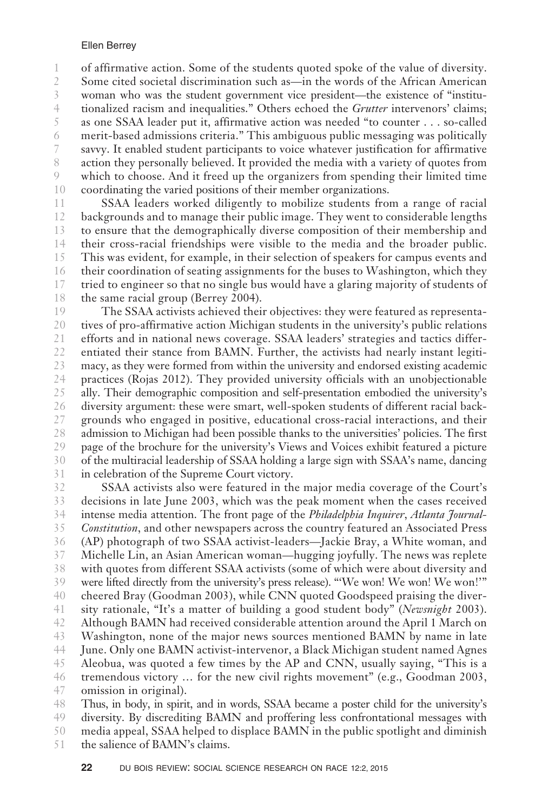1 2 3 4 5 6 7 8 9 10 of affirmative action. Some of the students quoted spoke of the value of diversity. Some cited societal discrimination such as—in the words of the African American woman who was the student government vice president—the existence of "institutionalized racism and inequalities." Others echoed the *Grutter* intervenors' claims; as one SSAA leader put it, affirmative action was needed "to counter . . . so-called merit-based admissions criteria." This ambiguous public messaging was politically savvy. It enabled student participants to voice whatever justification for affirmative action they personally believed. It provided the media with a variety of quotes from which to choose. And it freed up the organizers from spending their limited time coordinating the varied positions of their member organizations.

11 12 13 14 15 16 17 18 SSAA leaders worked diligently to mobilize students from a range of racial backgrounds and to manage their public image. They went to considerable lengths to ensure that the demographically diverse composition of their membership and their cross-racial friendships were visible to the media and the broader public. This was evident, for example, in their selection of speakers for campus events and their coordination of seating assignments for the buses to Washington, which they tried to engineer so that no single bus would have a glaring majority of students of the same racial group (Berrey 2004).

19 20 21 22 23 24 25 26 27 28 29 30 31 The SSAA activists achieved their objectives: they were featured as representatives of pro-affirmative action Michigan students in the university's public relations efforts and in national news coverage. SSAA leaders' strategies and tactics differentiated their stance from BAMN. Further, the activists had nearly instant legitimacy, as they were formed from within the university and endorsed existing academic practices (Rojas 2012). They provided university officials with an unobjectionable ally. Their demographic composition and self-presentation embodied the university's diversity argument: these were smart, well-spoken students of different racial backgrounds who engaged in positive, educational cross-racial interactions, and their admission to Michigan had been possible thanks to the universities' policies. The first page of the brochure for the university's Views and Voices exhibit featured a picture of the multiracial leadership of SSAA holding a large sign with SSAA's name, dancing in celebration of the Supreme Court victory.

32 33 34 35 36 37 38 39 40 41 42 43 44 45 46 47 SSAA activists also were featured in the major media coverage of the Court's decisions in late June 2003, which was the peak moment when the cases received intense media attention. The front page of the *Philadelphia Inquirer*, *Atlanta Journal-Constitution*, and other newspapers across the country featured an Associated Press (AP) photograph of two SSAA activist-leaders—Jackie Bray, a White woman, and Michelle Lin, an Asian American woman—hugging joyfully. The news was replete with quotes from different SSAA activists (some of which were about diversity and were lifted directly from the university's press release). "'We won! We won! We won!'" cheered Bray (Goodman 2003), while CNN quoted Goodspeed praising the diversity rationale, "It's a matter of building a good student body" ( *Newsnight* 2003). Although BAMN had received considerable attention around the April 1 March on Washington, none of the major news sources mentioned BAMN by name in late June. Only one BAMN activist-intervenor, a Black Michigan student named Agnes Aleobua, was quoted a few times by the AP and CNN, usually saying, "This is a tremendous victory … for the new civil rights movement" (e.g., Goodman 2003 , omission in original).

48 49 50 51 Thus, in body, in spirit, and in words, SSAA became a poster child for the university's diversity. By discrediting BAMN and proffering less confrontational messages with media appeal, SSAA helped to displace BAMN in the public spotlight and diminish the salience of BAMN's claims.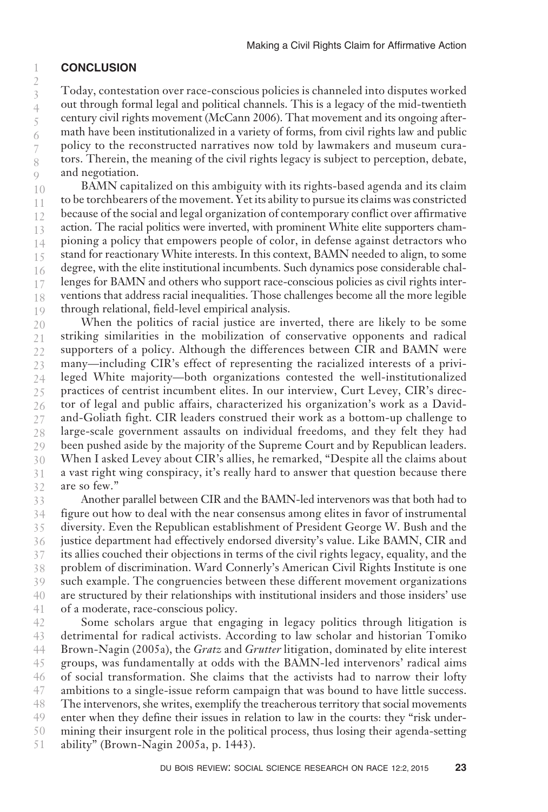# **CONCLUSION**

1

2 3 4 5 6 7 8 9 Today, contestation over race-conscious policies is channeled into disputes worked out through formal legal and political channels. This is a legacy of the mid-twentieth century civil rights movement (McCann 2006). That movement and its ongoing aftermath have been institutionalized in a variety of forms, from civil rights law and public policy to the reconstructed narratives now told by lawmakers and museum curators. Therein, the meaning of the civil rights legacy is subject to perception, debate, and negotiation.

10 11 12 13 14 15 16 17 18 19 BAMN capitalized on this ambiguity with its rights-based agenda and its claim to be torchbearers of the movement. Yet its ability to pursue its claims was constricted because of the social and legal organization of contemporary conflict over affirmative action. The racial politics were inverted, with prominent White elite supporters championing a policy that empowers people of color, in defense against detractors who stand for reactionary White interests. In this context, BAMN needed to align, to some degree, with the elite institutional incumbents. Such dynamics pose considerable challenges for BAMN and others who support race-conscious policies as civil rights interventions that address racial inequalities. Those challenges become all the more legible through relational, field-level empirical analysis.

20 21 22 23 24 25 26 27 28 29 30 31 32 When the politics of racial justice are inverted, there are likely to be some striking similarities in the mobilization of conservative opponents and radical supporters of a policy. Although the differences between CIR and BAMN were many—including CIR's effect of representing the racialized interests of a privileged White majority—both organizations contested the well-institutionalized practices of centrist incumbent elites. In our interview, Curt Levey, CIR's director of legal and public affairs, characterized his organization's work as a Davidand-Goliath fight. CIR leaders construed their work as a bottom-up challenge to large-scale government assaults on individual freedoms, and they felt they had been pushed aside by the majority of the Supreme Court and by Republican leaders. When I asked Levey about CIR's allies, he remarked, "Despite all the claims about a vast right wing conspiracy, it's really hard to answer that question because there are so few."

33 34 35 36 37 38 39 40 41 Another parallel between CIR and the BAMN-led intervenors was that both had to figure out how to deal with the near consensus among elites in favor of instrumental diversity. Even the Republican establishment of President George W. Bush and the justice department had effectively endorsed diversity's value. Like BAMN, CIR and its allies couched their objections in terms of the civil rights legacy, equality, and the problem of discrimination. Ward Connerly's American Civil Rights Institute is one such example. The congruencies between these different movement organizations are structured by their relationships with institutional insiders and those insiders' use of a moderate, race-conscious policy.

42 43 44 45 46 47 48 49 50 51 Some scholars argue that engaging in legacy politics through litigation is detrimental for radical activists. According to law scholar and historian Tomiko Brown-Nagin (2005a), the *Gratz* and *Grutter* litigation, dominated by elite interest groups, was fundamentally at odds with the BAMN-led intervenors' radical aims of social transformation. She claims that the activists had to narrow their lofty ambitions to a single-issue reform campaign that was bound to have little success. The intervenors, she writes, exemplify the treacherous territory that social movements enter when they define their issues in relation to law in the courts: they "risk undermining their insurgent role in the political process, thus losing their agenda-setting ability" (Brown-Nagin 2005a, p. 1443).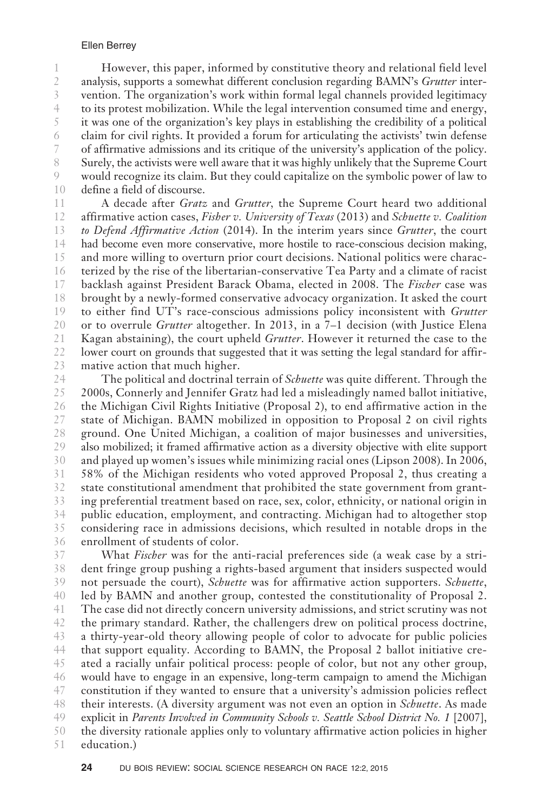1 2 3 4 5 6 7 8 9 10 However, this paper, informed by constitutive theory and relational field level analysis, supports a somewhat different conclusion regarding BAMN's *Grutter* intervention. The organization's work within formal legal channels provided legitimacy to its protest mobilization. While the legal intervention consumed time and energy, it was one of the organization's key plays in establishing the credibility of a political claim for civil rights. It provided a forum for articulating the activists' twin defense of affirmative admissions and its critique of the university's application of the policy. Surely, the activists were well aware that it was highly unlikely that the Supreme Court would recognize its claim. But they could capitalize on the symbolic power of law to define a field of discourse.

11 12 13 14 15 16 17 18 19 20 21 22 23 A decade after *Gratz* and *Grutter,* the Supreme Court heard two additional affirmative action cases, *Fisher v. University of Texas* (2013) and *Schuette v. Coalition to Defend Affirmative Action* (2014). In the interim years since *Grutter*, the court had become even more conservative, more hostile to race-conscious decision making, and more willing to overturn prior court decisions. National politics were characterized by the rise of the libertarian-conservative Tea Party and a climate of racist backlash against President Barack Obama, elected in 2008. The *Fischer* case was brought by a newly-formed conservative advocacy organization. It asked the court to either find UT's race-conscious admissions policy inconsistent with *Grutter* or to overrule *Grutter* altogether. In 2013, in a 7–1 decision (with Justice Elena Kagan abstaining), the court upheld *Grutter*. However it returned the case to the lower court on grounds that suggested that it was setting the legal standard for affirmative action that much higher.

24 25 26 27 28 29 30 31 32 33 34 35 36 The political and doctrinal terrain of *Schuette* was quite different. Through the 2000s, Connerly and Jennifer Gratz had led a misleadingly named ballot initiative, the Michigan Civil Rights Initiative (Proposal 2), to end affirmative action in the state of Michigan. BAMN mobilized in opposition to Proposal 2 on civil rights ground. One United Michigan, a coalition of major businesses and universities, also mobilized; it framed affirmative action as a diversity objective with elite support and played up women's issues while minimizing racial ones (Lipson 2008). In 2006, 58% of the Michigan residents who voted approved Proposal 2, thus creating a state constitutional amendment that prohibited the state government from granting preferential treatment based on race, sex, color, ethnicity, or national origin in public education, employment, and contracting. Michigan had to altogether stop considering race in admissions decisions, which resulted in notable drops in the enrollment of students of color.

37 38 39 40 41 42 43 44 45 46 47 48 49 50 51 What *Fischer* was for the anti-racial preferences side (a weak case by a strident fringe group pushing a rights-based argument that insiders suspected would not persuade the court), *Schuette* was for affirmative action supporters. *Schuette*, led by BAMN and another group, contested the constitutionality of Proposal 2. The case did not directly concern university admissions, and strict scrutiny was not the primary standard. Rather, the challengers drew on political process doctrine, a thirty-year-old theory allowing people of color to advocate for public policies that support equality. According to BAMN, the Proposal 2 ballot initiative created a racially unfair political process: people of color, but not any other group, would have to engage in an expensive, long-term campaign to amend the Michigan constitution if they wanted to ensure that a university's admission policies reflect their interests. (A diversity argument was not even an option in *Schuette*. As made explicit in *Parents Involved in Community Schools v. Seattle School District No. 1* [2007], the diversity rationale applies only to voluntary affirmative action policies in higher education.)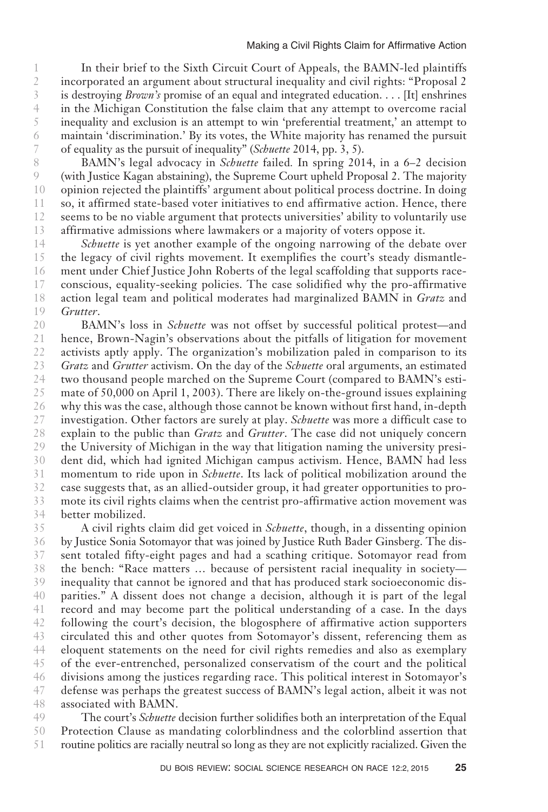1 2 3 4 5 6 7 In their brief to the Sixth Circuit Court of Appeals, the BAMN-led plaintiffs incorporated an argument about structural inequality and civil rights: "Proposal 2 is destroying *Brown's* promise of an equal and integrated education. . . . [It] enshrines in the Michigan Constitution the false claim that any attempt to overcome racial inequality and exclusion is an attempt to win 'preferential treatment,' an attempt to maintain 'discrimination.' By its votes, the White majority has renamed the pursuit of equality as the pursuit of inequality" ( *Schuette* 2014 , pp. 3, 5).

8 9 10 11 12 13 BAMN's legal advocacy in *Schuette* failed. In spring 2014, in a 6-2 decision (with Justice Kagan abstaining), the Supreme Court upheld Proposal 2. The majority opinion rejected the plaintiffs' argument about political process doctrine. In doing so, it affirmed state-based voter initiatives to end affirmative action. Hence, there seems to be no viable argument that protects universities' ability to voluntarily use affirmative admissions where lawmakers or a majority of voters oppose it.

14 15 16 17 18 19 *Schuette* is yet another example of the ongoing narrowing of the debate over the legacy of civil rights movement. It exemplifies the court's steady dismantlement under Chief Justice John Roberts of the legal scaffolding that supports raceconscious, equality-seeking policies. The case solidified why the pro-affirmative action legal team and political moderates had marginalized BAMN in *Gratz* and *Grutter*.

20 21 22 23 24 25 26 27 28 29 30 31 32 33 34 BAMN's loss in *Schuette* was not offset by successful political protest—and hence, Brown-Nagin's observations about the pitfalls of litigation for movement activists aptly apply. The organization's mobilization paled in comparison to its *Gratz* and *Grutter* activism. On the day of the *Schuette* oral arguments, an estimated two thousand people marched on the Supreme Court (compared to BAMN's estimate of 50,000 on April 1, 2003). There are likely on-the-ground issues explaining why this was the case, although those cannot be known without first hand, in-depth investigation. Other factors are surely at play. *Schuette* was more a difficult case to explain to the public than *Gratz* and *Grutter*. The case did not uniquely concern the University of Michigan in the way that litigation naming the university president did, which had ignited Michigan campus activism. Hence, BAMN had less momentum to ride upon in *Schuette*. Its lack of political mobilization around the case suggests that, as an allied-outsider group, it had greater opportunities to promote its civil rights claims when the centrist pro-affirmative action movement was better mobilized.

35 36 37 38 39 40 41 42 43 44 45 46 47 48 A civil rights claim did get voiced in *Schuette*, though, in a dissenting opinion by Justice Sonia Sotomayor that was joined by Justice Ruth Bader Ginsberg. The dissent totaled fifty-eight pages and had a scathing critique. Sotomayor read from the bench: "Race matters … because of persistent racial inequality in society inequality that cannot be ignored and that has produced stark socioeconomic disparities." A dissent does not change a decision, although it is part of the legal record and may become part the political understanding of a case. In the days following the court's decision, the blogosphere of affirmative action supporters circulated this and other quotes from Sotomayor's dissent, referencing them as eloquent statements on the need for civil rights remedies and also as exemplary of the ever-entrenched, personalized conservatism of the court and the political divisions among the justices regarding race. This political interest in Sotomayor's defense was perhaps the greatest success of BAMN's legal action, albeit it was not associated with BAMN.

49 50 51 The court's *Schuette* decision further solidifies both an interpretation of the Equal Protection Clause as mandating colorblindness and the colorblind assertion that routine politics are racially neutral so long as they are not explicitly racialized. Given the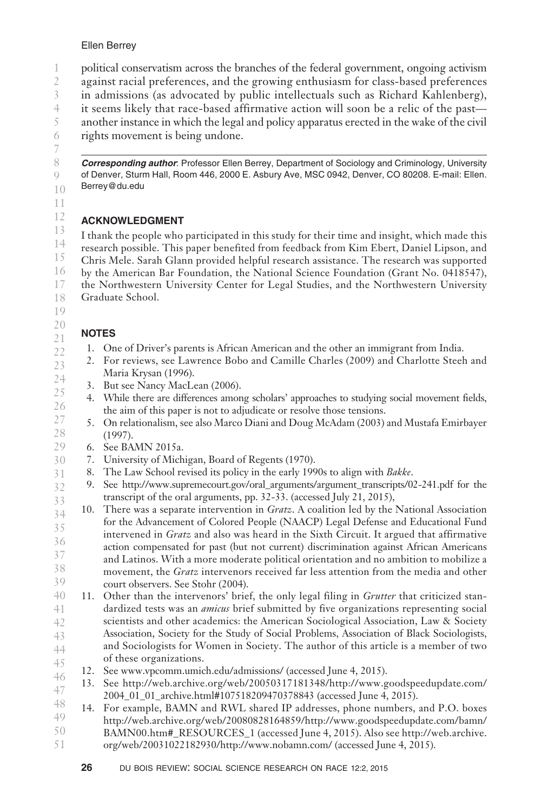1 2 3 4 5 6 7 political conservatism across the branches of the federal government, ongoing activism against racial preferences, and the growing enthusiasm for class-based preferences in admissions (as advocated by public intellectuals such as Richard Kahlenberg), it seems likely that race-based affirmative action will soon be a relic of the past another instance in which the legal and policy apparatus erected in the wake of the civil rights movement is being undone.

*Corresponding author*: Professor Ellen Berrey, Department of Sociology and Criminology, University of Denver, Sturm Hall, Room 446, 2000 E. Asbury Ave, MSC 0942, Denver, CO 80208. E-mail: Ellen. Berrey@du.edu

10 11

19

22 23

8 9

#### 12 **ACKNOWLEDGMENT**

13 14 15 16 17 18 I thank the people who participated in this study for their time and insight, which made this research possible. This paper benefited from feedback from Kim Ebert, Daniel Lipson, and Chris Mele. Sarah Glann provided helpful research assistance. The research was supported by the American Bar Foundation, the National Science Foundation (Grant No. 0418547), the Northwestern University Center for Legal Studies, and the Northwestern University Graduate School.

#### 20 21 **NOTES**

- 1. One of Driver's parents is African American and the other an immigrant from India.
- 2. For reviews, see Lawrence Bobo and Camille Charles ( 2009 ) and Charlotte Steeh and Maria Krysan (1996).
- 24 3. But see Nancy MacLean (2006).
- 25 26 4. While there are differences among scholars' approaches to studying social movement fields, the aim of this paper is not to adjudicate or resolve those tensions.
- 27 28 5. On relationalism, see also Marco Diani and Doug McAdam ( 2003 ) and Mustafa Emirbayer  $(1997).$
- 29 6. See BAMN 2015a.
- 30 7. University of Michigan, Board of Regents (1970).
- 31 8. The Law School revised its policy in the early 1990s to align with *Bakke*.
- 32 33 9. See http://www.supremecourt.gov/oral\_arguments/argument\_transcripts/02-241.pdffor the transcript of the oral arguments, pp. 32-33. (accessed July 21, 2015),
- 34 35 36 37 38 39 10. There was a separate intervention in *Gratz*. A coalition led by the National Association for the Advancement of Colored People (NAACP) Legal Defense and Educational Fund intervened in *Gratz* and also was heard in the Sixth Circuit. It argued that affirmative action compensated for past (but not current) discrimination against African Americans and Latinos. With a more moderate political orientation and no ambition to mobilize a movement, the *Gratz* intervenors received far less attention from the media and other court observers. See Stohr (2004).
- 40 41 42 43 44 45 11. Other than the intervenors' brief, the only legal filing in *Grutter* that criticized standardized tests was an *amicus* brief submitted by five organizations representing social scientists and other academics: the American Sociological Association, Law & Society Association, Society for the Study of Social Problems, Association of Black Sociologists, and Sociologists for Women in Society. The author of this article is a member of two of these organizations.
- 46 12. See www.vpcomm.umich.edu/admissions/(accessed June 4, 2015).
- 47 13. See http://web.archive.org/web/20050317181348/http://www.goodspeedupdate.com/ 2004\_01\_01\_archive.html#107518209470378843(accessed June 4, 2015).
- 48 49 50 14. For example, BAMN and RWL shared IP addresses, phone numbers, and P.O. boxes http://web.archive.org/web/20080828164859/http://www.goodspeedupdate.com/bamn/ BAMN00.htm#\_RESOURCES\_1(accessed June 4, 2015). Also see http://web.archive.
- 51 org/web/20031022182930/http://www.nobamn.com/(accessed June 4, 2015).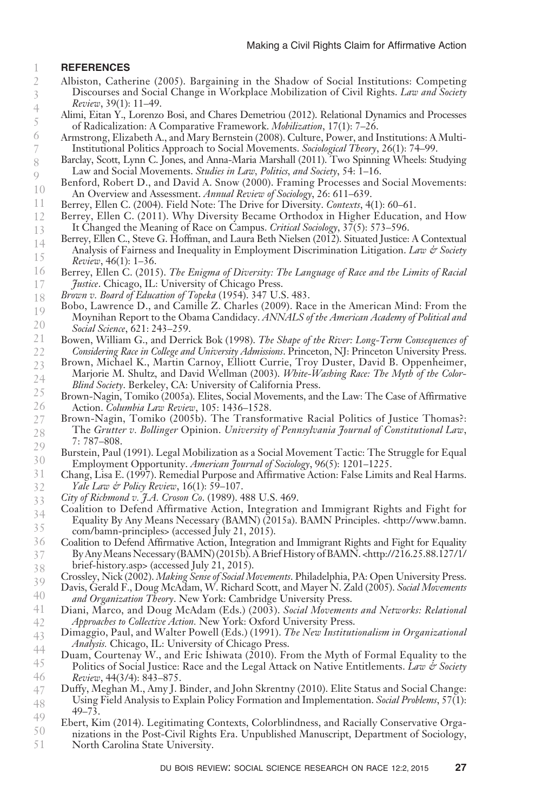### **REFERENCES**

17

- Albiston, Catherine (2005). Bargaining in the Shadow of Social Institutions: Competing Discourses and Social Change in Workplace Mobilization of Civil Rights . *Law and Society Review*, 39(1): 11-49.
- Alimi, Eitan Y., Lorenzo Bosi, and Chares Demetriou (2012). Relational Dynamics and Processes of Radicalization: A Comparative Framework. *Mobilization*, 17(1): 7-26.
- Armstrong, Elizabeth A., and Mary Bernstein (2008). Culture, Power, and Institutions: A Multi-Institutional Politics Approach to Social Movements. *Sociological Theory*, 26(1): 74–99.
- Barclay, Scott, Lynn C. Jones, and Anna-Maria Marshall (2011). Two Spinning Wheels: Studying Law and Social Movements. Studies in Law, Politics, and Society, 54: 1-16.
- 10 Benford, Robert D., and David A. Snow (2000). Framing Processes and Social Movements: An Overview and Assessment. *Annual Review of Sociology*, 26: 611-639.
- 11 Berrey, Ellen C. (2004). Field Note: The Drive for Diversity. *Contexts*, 4(1): 60–61.
- 12 13 Berrey, Ellen C. (2011). Why Diversity Became Orthodox in Higher Education, and How It Changed the Meaning of Race on Campus. *Critical Sociology*, 37(5): 573-596.
- 14 15 Berrey, Ellen C., Steve G. Hoffman, and Laura Beth Nielsen (2012). Situated Justice: A Contextual Analysis of Fairness and Inequality in Employment Discrimination Litigation . *Law & Society Review*, 46(1): 1-36.
- 16 Berrey, Ellen C. (2015). *The Enigma of Diversity: The Language of Race and the Limits of Racial Justice*. Chicago, IL: University of Chicago Press.
- 18 *Brown v. Board of Education of Topeka* (1954). 347 U.S. 483.
- 19 20 Bobo, Lawrence D., and Camille Z. Charles (2009). Race in the American Mind: From the Moynihan Report to the Obama Candidacy . *ANNALS of the American Academy of Political and Social Science*,  $621: 243 - 259$ .
- 21 22 Bowen, William G., and Derrick Bok (1998). *The Shape of the River: Long-Term Consequences of* Considering Race in College and University Admissions. Princeton, NJ: Princeton University Press.
- 23 24 Brown, Michael K., Martin Carnoy, Elliott Currie, Troy Duster, David B. Oppenheimer, Marjorie M. Shultz, and David Wellman (2003). White-Washing Race: The Myth of the Color-Blind Society. Berkeley, CA: University of California Press.
- 25 26 Brown-Nagin, Tomiko (2005a). Elites, Social Movements, and the Law: The Case of Affirmative Action. *Columbia Law Review*, 105: 1436-1528.
- 27 28 Brown-Nagin, Tomiko (2005b). The Transformative Racial Politics of Justice Thomas?: The *Grutter v. Bollinger* Opinion . *University of Pennsylvania Journal of Constitutional Law*, 7: 787-808.
- 29 30 Burstein, Paul (1991). Legal Mobilization as a Social Movement Tactic: The Struggle for Equal Employment Opportunity. American Journal of Sociology, 96(5): 1201-1225.
- 31 32 Chang, Lisa E. (1997). Remedial Purpose and Affirmative Action: False Limits and Real Harms. *Yale Law & Policy Review*, 16(1): 59-107.
- 33 *City of Richmond v. J.A. Croson Co*. ( 1989 ). 488U.S. 469.
- 34 35 Coalition to Defend Affirmative Action, Integration and Immigrant Rights and Fight for Equality By Any Means Necessary (BAMN) ( 2015 a). BAMN Principles. < http://www.bamn. com/bamn-principles> (accessed July 21, 2015).
- 36 37 38 Coalition to Defend Affirmative Action , Integration and Immigrant Rights and Fight for Equality By Any Means Necessary (BAMN)( 2015 b). A Brief History of BAMN. < http://216.25.88.127/1/ brief-history.asp> (accessed July 21, 2015).
- 39 Crossley, Nick (2002). *Making Sense of Social Movements*. Philadelphia, PA: Open University Press.
- 40 Davis , Gerald F. , Doug McAdam , W. Richard Scott , and Mayer N. Zald( 2005 ). *Social Movements*  and Organization Theory. New York: Cambridge University Press.
- 41 42 Diani, Marco, and Doug McAdam (Eds.) (2003). Social Movements and Networks: Relational Approaches to Collective Action. New York: Oxford University Press.
- 43 44 Dimaggio, Paul, and Walter Powell (Eds.) (1991). *The New Institutionalism in Organizational* Analysis. Chicago, IL: University of Chicago Press.
- 45 46 Duam, Courtenay W., and Eric Ishiwata ( $2010$ ). From the Myth of Formal Equality to the Politics of Social Justice: Race and the Legal Attack on Native Entitlements . *Law & Society Review*, 44(3/4): 843-875.
- 47 48 Duffy, Meghan M., Amy J. Binder, and John Skrentny (2010). Elite Status and Social Change: Using Field Analysis to Explain Policy Formation and Implementation . *Social Problems*, 57 ( 1 ):  $49 - 73$ .
- 49 50 Ebert, Kim (2014). Legitimating Contexts, Colorblindness, and Racially Conservative Organizations in the Post-Civil Rights Era. Unpublished Manuscript, Department of Sociology,
- 51 North Carolina State University.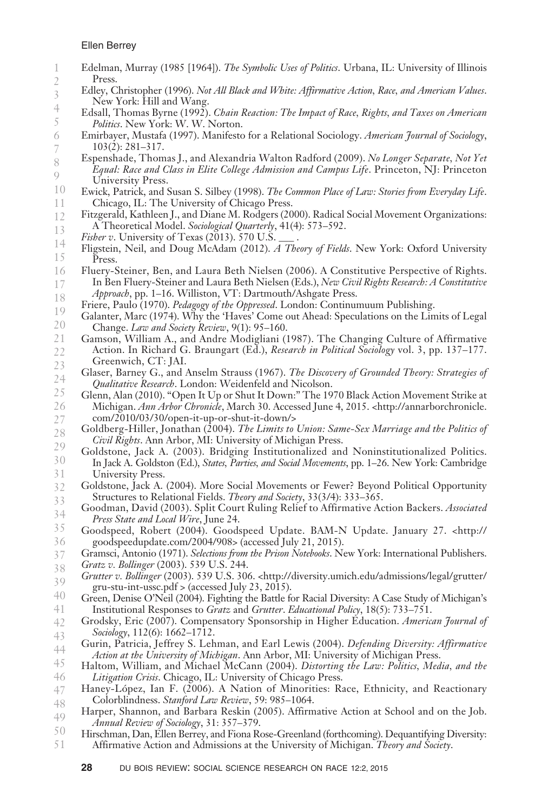- 1 2 Edelman, Murray (1985 [1964]). *The Symbolic Uses of Politics*. Urbana, IL: University of Illinois Press.
- 3 Edley, Christopher (1996). *Not All Black and White: Affirmative Action, Race, and American Values.* New York: Hill and Wang.
- 4 5 Edsall, Thomas Byrne (1992). *Chain Reaction: The Impact of Race, Rights, and Taxes on American* Politics. New York: W. W. Norton.
- 6 7 Emirbayer , Mustafa( 1997 ). Manifesto for a Relational Sociology . *American Journal of Sociology*,  $103(2)$ : 281-317.
- 8 9 Espenshade , Thomas J. , and Alexandria Walton Radford( 2009 ). *No Longer Separate, Not Yet Equal: Race and Class in Elite College Admission and Campus Life*. Princeton, NJ : Princeton University Press.
- 10 11 Ewick , Patrick , and Susan S. Silbey( 1998 ). *The Common Place of Law: Stories from Everyday Life*. Chicago, IL: The University of Chicago Press.
- 12 13 Fitzgerald, Kathleen J., and Diane M. Rodgers (2000). Radical Social Movement Organizations: A Theoretical Model. *Sociological Quarterly*, 41(4): 573-592.
- 14 *Fisher v.* University of Texas (2013). 570 U.S.
- 15 Fligstein, Neil, and Doug McAdam (2012). *A Theory of Fields*. New York: Oxford University Press.
- 16 17 18 Fluery-Steiner, Ben, and Laura Beth Nielsen (2006). A Constitutive Perspective of Rights. In Ben Fluery-Steinerand Laura Beth Nielsen(Eds.), *New Civil Rights Research: A Constitutive*  Approach, pp. 1-16. Williston, VT: Dartmouth/Ashgate Press.
- Friere, Paulo (1970). *Pedagogy of the Oppressed*. London: Continumuum Publishing.
- 19 20 Galanter, Marc (1974). Why the 'Haves' Come out Ahead: Speculations on the Limits of Legal Change. *Law and Society Review*, 9(1): 95–160.
- 21 22 23 Gamson, William A., and Andre Modigliani (1987). The Changing Culture of Affirmative Action. In Richard G. Braungart (Ed.), *Research in Political Sociology* vol. 3, pp. 137–177. Greenwich, CT: JAI.
- 24 Glaser, Barney G., and Anselm Strauss (1967). *The Discovery of Grounded Theory: Strategies of* Qualitative Research. London: Weidenfeld and Nicolson.
- 25 26 27 Glenn, Alan (2010). "Open It Up or Shut It Down:" The 1970 Black Action Movement Strike at Michigan . *Ann Arbor Chronicle*, March 30. Accessed June 4, 2015. < http://annarborchronicle. com/2010/03/30/open-it-up-or-shut-it-down/>
- 28 Goldberg-Hiller, Jonathan (2004). *The Limits to Union: Same-Sex Marriage and the Politics of Civil Rights*. Ann Arbor, MI: University of Michigan Press.
- 29 30 31 Goldstone, Jack A. (2003). Bridging Institutionalized and Noninstitutionalized Politics. In Jack A. Goldston (Ed.), *States, Parties, and Social Movements*, pp. 1-26. New York: Cambridge University Press .
- 32 33 Goldstone, Jack A. (2004). More Social Movements or Fewer? Beyond Political Opportunity Structures to Relational Fields. *Theory and Society*, 33(3/4): 333-365.
- 34 Goodman, David (2003). Split Court Ruling Relief to Affirmative Action Backers. *Associated Press State and Local Wire*, June 24.
- 35 36 Goodspeed, Robert (2004). Goodspeed Update. BAM-N Update. January 27. < http:// goodspeedupdate.com/2004/908> (accessed July 21, 2015).
- 37 Gramsci, Antonio (1971). *Selections from the Prison Notebooks*. New York: International Publishers.
- 38 *Gratz v. Bollinger* (2003). 539 U.S. 244.
- 39 *Grutter v. Bollinger* ( 2003 ). 539 U.S. 306. < http://diversity.umich.edu/admissions/legal/grutter/ gru-stu-int-ussc.pdf > (accessed July 23, 2015).
- 40 41 Green, Denise O'Neil (2004). Fighting the Battle for Racial Diversity: A Case Study of Michigan's Institutional Responses to *Gratz* and *Grutter*. *Educational Policy*, 18(5): 733-751.
- 42 43 Grodsky, Eric (2007). Compensatory Sponsorship in Higher Education. American Journal of *Sociology*, 112(6): 1662–1712.
- 44 Gurin, Patricia, Jeffrey S. Lehman, and Earl Lewis (2004). *Defending Diversity: Affirmative Action at the University of Michigan*. Ann Arbor, MI : University of Michigan Press .
- 45 46 Haltom, William, and Michael McCann (2004). *Distorting the Law: Politics, Media, and the* Litigation Crisis. Chicago, IL: University of Chicago Press.
- 47 48 Haney-López, Ian F. (2006). A Nation of Minorities: Race, Ethnicity, and Reactionary Colorblindness. *Stanford Law Review*, 59: 985-1064.
- 49 Harper, Shannon, and Barbara Reskin (2005). Affirmative Action at School and on the Job. *Annual Review of Sociology*, 31 : 357 – 379 .
- 50 Hirschman, Dan, Ellen Berrey, and Fiona Rose-Greenland (forthcoming). Dequantifying Diversity:
- 51 Affirmative Action and Admissions at the University of Michigan . *Theory and Society*.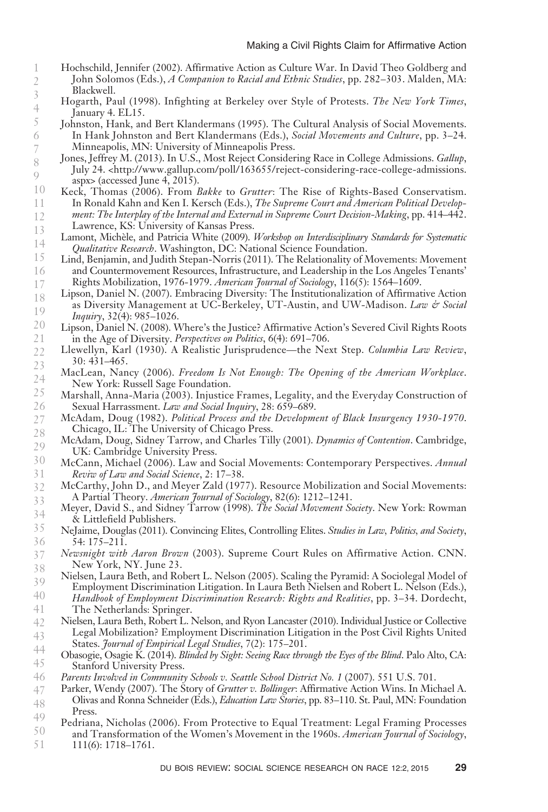- Hochschild, Jennifer (2002). Affirmative Action as Culture War. In David Theo Goldberg and John Solomos (Eds.), *A Companion to Racial and Ethnic Studies*, pp. 282–303. Malden, MA: Blackwell.
- Hogarth, Paul (1998). Infighting at Berkeley over Style of Protests. *The New York Times*, January 4. EL15.
- Johnston, Hank, and Bert Klandermans (1995). The Cultural Analysis of Social Movements. In Hank Johnston and Bert Klandermans (Eds.), *Social Movements and Culture*, pp. 3–24. Minneapolis, MN: University of Minneapolis Press.
- 8 9 Jones, Jeffrey M. (2013). In U.S., Most Reject Considering Race in College Admissions. Gallup, July 24. < http://www.gallup.com/poll/163655/reject-considering-race-college-admissions. aspx> (accessed June 4, 2015).
- 10 11 12 13 Keck, Thomas (2006). From *Bakke* to *Grutter*: The Rise of Rights-Based Conservatism. In Ronald Kahn and Ken I. Kersch (Eds.), *The Supreme Court and American Political Development: The Interplay of the Internal and External in Supreme Court Decision-Making*, pp. 414 – 442 . Lawrence, KS: University of Kansas Press.
- 14 Lamont, Michèle, and Patricia White (2009). *Workshop on Interdisciplinary Standards for Systematic* Qualitative Research. Washington, DC: National Science Foundation.
- 15 16 17 Lind , Benjamin , and Judith Stepan-Norris( 2011 ). The Relationality of Movements: Movement and Countermovement Resources, Infrastructure, and Leadership in the Los Angeles Tenants' Rights Mobilization, 1976-1979. *American Journal of Sociology*, 116(5): 1564–1609.
- 18 19 Lipson, Daniel N. (2007). Embracing Diversity: The Institutionalization of Affirmative Action as Diversity Management at UC-Berkeley, UT-Austin, and UW-Madison . *Law & Social Inquiry*, 32(4): 985–1026.
- 20 21 Lipson, Daniel N. (2008). Where's the Justice? Affirmative Action's Severed Civil Rights Roots in the Age of Diversity. *Perspectives on Politics*, 6(4): 691–706.
- 22 23 Llewellyn, Karl (1930). A Realistic Jurisprudence—the Next Step. *Columbia Law Review*,  $30:431-465$ .
- 24 MacLean, Nancy (2006). *Freedom Is Not Enough: The Opening of the American Workplace*. New York: Russell Sage Foundation.
- 25 26 Marshall, Anna-Maria (2003). Injustice Frames, Legality, and the Everyday Construction of Sexual Harrassment. *Law and Social Inquiry*, 28: 659-689.
- 27 28 McAdam, Doug (1982). *Political Process and the Development of Black Insurgency 1930-1970*. Chicago, IL: The University of Chicago Press.
- 29 McAdam, Doug, Sidney Tarrow, and Charles Tilly (2001). *Dynamics of Contention*. Cambridge, UK: Cambridge University Press.
- 30 31 McCann , Michael( 2006 ). Law and Social Movements: Contemporary Perspectives . *Annual*  Reviw of Law and Social Science, 2: 17-38.
- 32 33 McCarthy, John D., and Meyer Zald (1977). Resource Mobilization and Social Movements: A Partial Theory. *American Journal of Sociology*, 82(6): 1212-1241.
- 34 Meyer , David S. , and Sidney Tarrow( 1998 ). *The Social Movement Society*. New York : Rowman  $\&$  Littlefield Publishers.
- 35 36 NeJaime , Douglas( 2011 ). Convincing Elites, Controlling Elites . *Studies in Law, Politics, and Society*, 54: 175-211.
- 37 38 *Newsnight with Aaron Brown* (2003). Supreme Court Rules on Affirmative Action. CNN. New York, NY. June 23.
- 39 40 41 Nielsen, Laura Beth, and Robert L. Nelson (2005). Scaling the Pyramid: A Sociolegal Model of Employment Discrimination Litigation . In Laura Beth Nielsenand Robert L. Nelson(Eds.), *Handbook of Employment Discrimination Research: Rights and Realities*, pp. 3 – 34 . Dordecht, The Netherlands: Springer.
- 42 43 44 Nielsen , Laura Beth , Robert L. Nelson , and Ryon Lancaster( 2010 ). Individual Justice or Collective Legal Mobilization? Employment Discrimination Litigation in the Post Civil Rights United States. *Journal of Empirical Legal Studies*, 7(2): 175-201.
- 45 Obasogie, Osagie K. (2014). *Blinded by Sight: Seeing Race through the Eyes of the Blind*. Palo Alto, CA: Stanford University Press.
- 46 Parents Involved in Community Schools v. Seattle School District No. 1 (2007). 551 U.S. 701.
- 47 48 Parker, Wendy (2007). The Story of *Grutter v. Bollinger*: Affirmative Action Wins. In Michael A. Olivasand Ronna Schneider(Eds.), *Education Law Stories*, pp. 83 – 110 . St. Paul, MN : Foundation Press.
- 49 50 Pedriana, Nicholas (2006). From Protective to Equal Treatment: Legal Framing Processes and Transformation of the Women's Movement in the 1960s . *American Journal of Sociology*,
- 51 111(6): 1718-1761.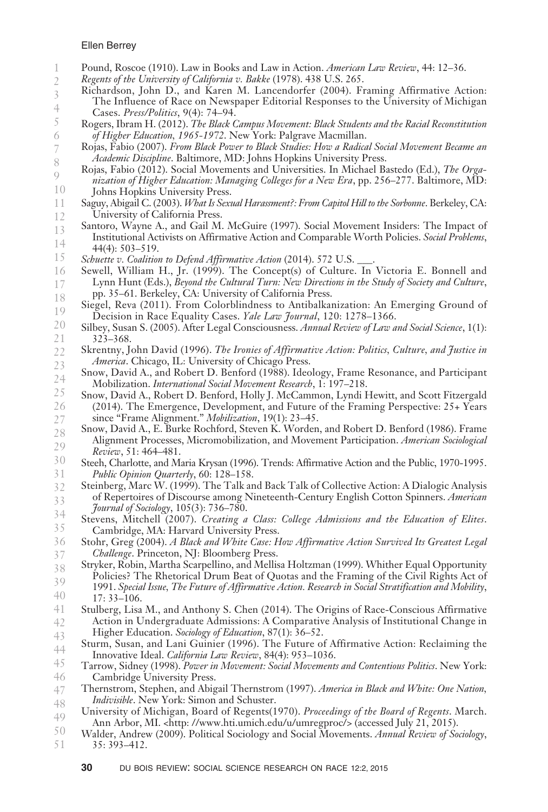- 1 Pound, Roscoe (1910). Law in Books and Law in Action. *American Law Review*, 44: 12–36.
- 2 *Regents of the University of California v. Bakke* (1978). 438 U.S. 265.
- 3 4 Richardson, John D., and Karen M. Lancendorfer (2004). Framing Affirmative Action: The Influence of Race on Newspaper Editorial Responses to the University of Michigan Cases. *Press/Politics*, 9(4): 74-94.
- 5 6 Rogers, Ibram H. (2012). *The Black Campus Movement: Black Students and the Racial Reconstitution* of Higher Education, 1965-1972. New York: Palgrave Macmillan.
- 7 8 Rojas, Fabio (2007). *From Black Power to Black Studies: How a Radical Social Movement Became an* Academic Discipline. Baltimore, MD: Johns Hopkins University Press.
- 9 10 Rojas, Fabio (2012). Social Movements and Universities. In Michael Bastedo (Ed.), *The Organization of Higher Education: Managing Colleges for a New Era*, pp. 256–277. Baltimore, MD: Johns Hopkins University Press.
- 11 12 Saguy, Abigail C. (2003). *What Is Sexual Harassment?: From Capitol Hill to the Sorbonne*. Berkeley, CA: University of California Press .
- 13 14 Santoro, Wayne A., and Gail M. McGuire (1997). Social Movement Insiders: The Impact of Institutional Activists on Affirmative Action and Comparable Worth Policies . *Social Problems*, 44 (4): 503 – 519.
- 15 *Schuette v. Coalition to Defend Affirmative Action* (2014). 572 U.S. \_\_\_.
- 16 17 18 Sewell, William H., Jr. (1999). The Concept(s) of Culture. In Victoria E. Bonnell and Lynn Hunt(Eds.), *Beyond the Cultural Turn: New Directions in the Study of Society and Culture*, pp. 35-61. Berkeley, CA: University of California Press.
- 19 Siegel, Reva (2011). From Colorblindness to Antibalkanization: An Emerging Ground of Decision in Race Equality Cases. *Yale Law Journal*, 120: 1278–1366.
- 20 21 Silbey, Susan S. (2005). After Legal Consciousness. Annual Review of Law and Social Science, 1(1): 323 – 368.
- 22 23 Skrentny, John David (1996). *The Ironies of Affirmative Action: Politics, Culture, and Justice in* America. Chicago, IL: University of Chicago Press.
- 24 Snow, David A., and Robert D. Benford (1988). Ideology, Frame Resonance, and Participant Mobilization. *International Social Movement Research*, 1: 197–218.
- 25 26 27 Snow, David A., Robert D. Benford, Holly J. McCammon, Lyndi Hewitt, and Scott Fitzergald (2014). The Emergence, Development, and Future of the Framing Perspective: 25+ Years since "Frame Alignment." *Mobilization*, 19(1): 23-45.
- 28 29 Snow, David A., E. Burke Rochford, Steven K. Worden, and Robert D. Benford (1986). Frame Alignment Processes, Micromobilization, and Movement Participation . *American Sociological Review*, 51: 464–481.
- 30 31 Steeh, Charlotte, and Maria Krysan (1996). Trends: Affirmative Action and the Public, 1970-1995. *Public Opinion Quarterly*, 60: 128-158.
- 32 33 34 Steinberg, Marc W. (1999). The Talk and Back Talk of Collective Action: A Dialogic Analysis of Repertoires of Discourse among Nineteenth-Century English Cotton Spinners . *American Journal of Sociology*, 105(3): 736–780.
- 35 Stevens, Mitchell<sup>(2007</sup>). *Creating a Class: College Admissions and the Education of Elites*. Cambridge, MA: Harvard University Press.
- 36 37 Stohr, Greg (2004). *A Black and White Case: How Affirmative Action Survived Its Greatest Legal Challenge*. Princeton, NJ: Bloomberg Press.
- 38 39 Stryker, Robin, Martha Scarpellino, and Mellisa Holtzman (1999). Whither Equal Opportunity Policies? The Rhetorical Drum Beat of Quotas and the Framing of the Civil Rights Act of
- 40 1991 . *Special Issue, The Future of Affirmative Action. Research in Social Stratification and Mobility*,  $17: 33 - 106.$
- 41 42 43 Stulberg, Lisa M., and Anthony S. Chen (2014). The Origins of Race-Conscious Affirmative Action in Undergraduate Admissions: A Comparative Analysis of Institutional Change in Higher Education. *Sociology of Education*, 87(1): 36-52.
- 44 Sturm, Susan, and Lani Guinier (1996). The Future of Affirmative Action: Reclaiming the Innovative Ideal. *California Law Review*, 84(4): 953-1036.
- 45 46 Tarrow, Sidney (1998). Power in Movement: Social Movements and Contentious Politics. New York: Cambridge University Press .
- 47 48 Thernstrom , Stephen , and Abigail Thernstrom( 1997 ). *America in Black and White: One Nation, Indivisible*. New York: Simon and Schuster.
- 49 University of Michigan, Board of Regents ( 1970 ). *Proceedings of the Board of Regents*. March. Ann Arbor, MI. <http://www.hti.umich.edu/u/umregproc/> (accessed July 21, 2015).
- 50 Walder , Andrew( 2009 ). Political Sociology and Social Movements . *Annual Review of Sociology*,
- 51 35: 393-412.